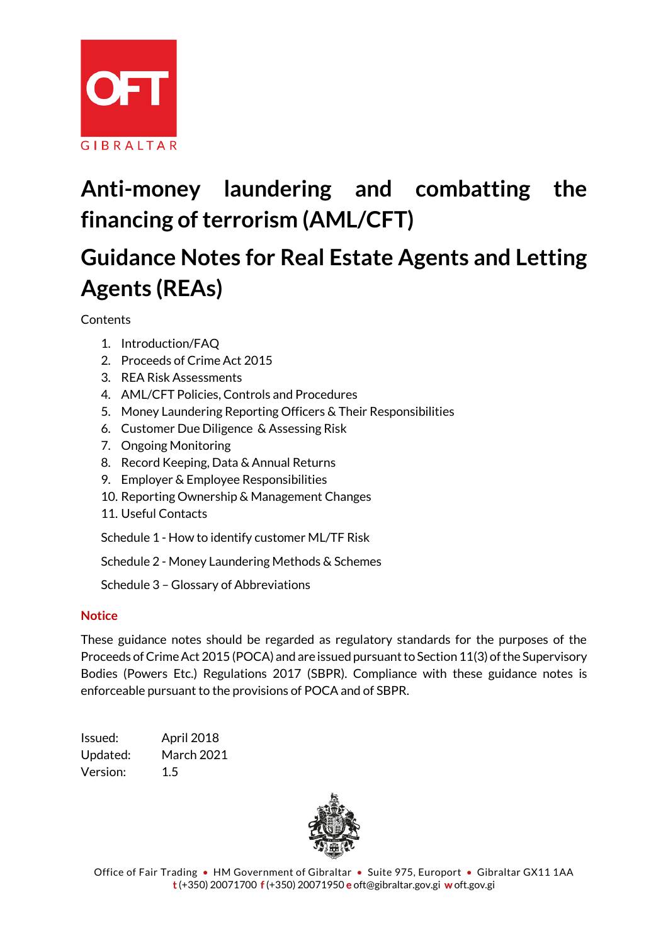

# **Anti-money laundering and combatting the financing of terrorism (AML/CFT)**

# **Guidance Notes for Real Estate Agents and Letting Agents (REAs)**

**Contents** 

- 1. Introduction/FAQ
- 2. Proceeds of Crime Act 2015
- 3. REA Risk Assessments
- 4. AML/CFT Policies, Controls and Procedures
- 5. Money Laundering Reporting Officers & Their Responsibilities
- 6. Customer Due Diligence & Assessing Risk
- 7. Ongoing Monitoring
- 8. Record Keeping, Data & Annual Returns
- 9. Employer & Employee Responsibilities
- 10. Reporting Ownership & Management Changes
- 11. Useful Contacts

Schedule 1 - How to identify customer ML/TF Risk

Schedule 2 - Money Laundering Methods & Schemes

Schedule 3 – Glossary of Abbreviations

#### **Notice**

These guidance notes should be regarded as regulatory standards for the purposes of the Proceeds of Crime Act 2015 (POCA) and are issued pursuant to Section 11(3) of the Supervisory Bodies (Powers Etc.) Regulations 2017 (SBPR). Compliance with these guidance notes is enforceable pursuant to the provisions of POCA and of SBPR.

Issued: April 2018 Updated: March 2021 Version: 1.5



Office of Fair Trading • HM Government of Gibraltar • Suite 975, Europort • Gibraltar GX11 1AA t (+350) 20071700 f (+350) 20071950 e oft@gibraltar.gov.gi w oft.gov.gi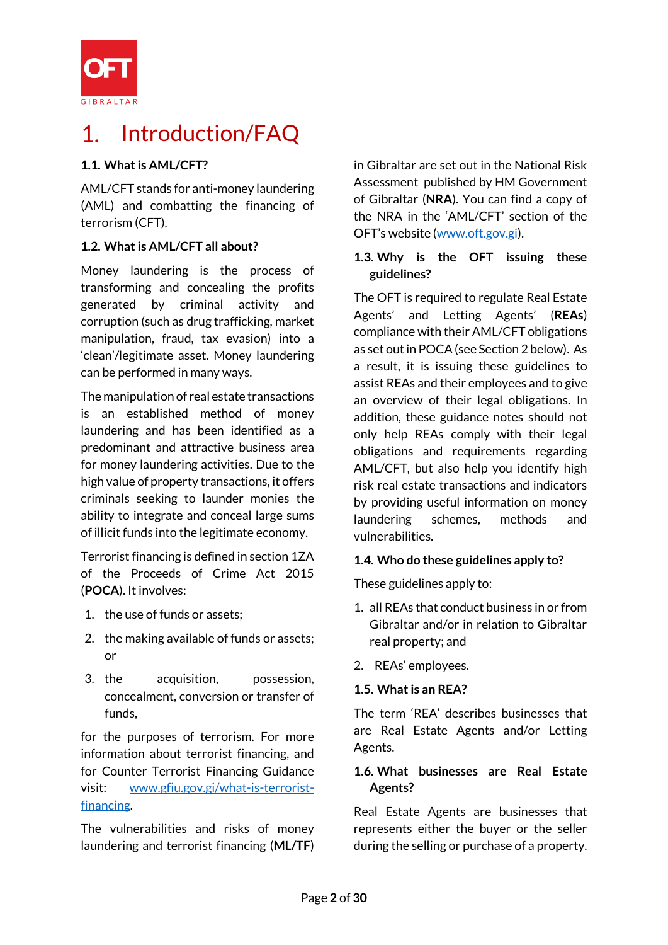

#### Introduction/FAQ 1

## **1.1. What is AML/CFT?**

AML/CFT stands for anti-money laundering (AML) and combatting the financing of terrorism (CFT).

# **1.2. What is AML/CFT all about?**

Money laundering is the process of transforming and concealing the profits generated by criminal activity and corruption (such as drug trafficking, market manipulation, fraud, tax evasion) into a 'clean'/legitimate asset. Money laundering can be performed in many ways.

The manipulation of real estate transactions is an established method of money laundering and has been identified as a predominant and attractive business area for money laundering activities. Due to the high value of property transactions, it offers criminals seeking to launder monies the ability to integrate and conceal large sums of illicit funds into the legitimate economy.

Terrorist financing is defined in section 1ZA of the Proceeds of Crime Act 2015 (**POCA**). It involves:

- 1. the use of funds or assets;
- 2. the making available of funds or assets; or
- 3. the acquisition, possession, concealment, conversion or transfer of funds,

for the purposes of terrorism. For more information about terrorist financing, and for Counter Terrorist Financing Guidance visit: [www.gfiu.gov.gi/what-is-terrorist](http://www.gfiu.gov.gi/what-is-terrorist-financing)[financing.](http://www.gfiu.gov.gi/what-is-terrorist-financing)

The vulnerabilities and risks of money laundering and terrorist financing (**ML/TF**) in Gibraltar are set out in the National Risk Assessment published by HM Government of Gibraltar (**NRA**). You can find a copy of the NRA in the 'AML/CFT' section of the OFT's website [\(www.oft.gov.gi\)](http://www.oft.gov.gi/).

### **1.3. Why is the OFT issuing these guidelines?**

The OFT is required to regulate Real Estate Agents' and Letting Agents' (**REAs**) compliance with their AML/CFT obligations as set out in POCA(see Section 2 below). As a result, it is issuing these guidelines to assist REAs and their employees and to give an overview of their legal obligations. In addition, these guidance notes should not only help REAs comply with their legal obligations and requirements regarding AML/CFT, but also help you identify high risk real estate transactions and indicators by providing useful information on money laundering schemes, methods and vulnerabilities.

## **1.4. Who do these guidelines apply to?**

These guidelines apply to:

- 1. all REAs that conduct business in or from Gibraltar and/or in relation to Gibraltar real property; and
- 2. REAs' employees.

## **1.5. What is an REA?**

The term 'REA' describes businesses that are Real Estate Agents and/or Letting Agents.

## **1.6. What businesses are Real Estate Agents?**

Real Estate Agents are businesses that represents either the buyer or the seller during the selling or purchase of a property.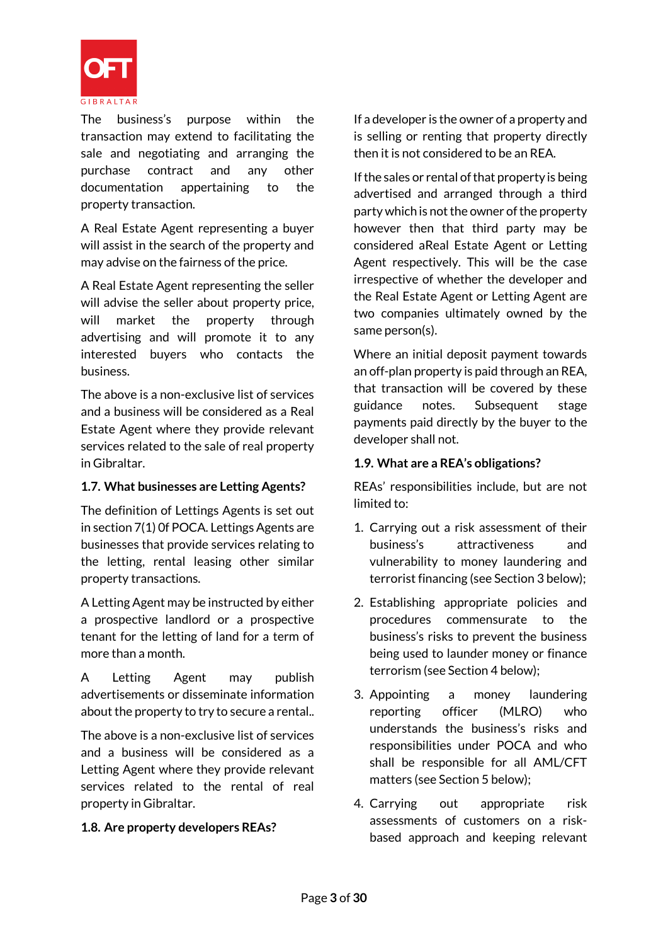

The business's purpose within the transaction may extend to facilitating the sale and negotiating and arranging the purchase contract and any other documentation appertaining to the property transaction.

A Real Estate Agent representing a buyer will assist in the search of the property and may advise on the fairness of the price.

A Real Estate Agent representing the seller will advise the seller about property price, will market the property through advertising and will promote it to any interested buyers who contacts the business.

The above is a non-exclusive list of services and a business will be considered as a Real Estate Agent where they provide relevant services related to the sale of real property in Gibraltar.

#### **1.7. What businesses are Letting Agents?**

The definition of Lettings Agents is set out in section 7(1) 0f POCA. Lettings Agents are businesses that provide services relating to the letting, rental leasing other similar property transactions.

A Letting Agent may be instructed by either a prospective landlord or a prospective tenant for the letting of land for a term of more than a month.

A Letting Agent may publish advertisements or disseminate information about the property to try to secure a rental..

The above is a non-exclusive list of services and a business will be considered as a Letting Agent where they provide relevant services related to the rental of real property in Gibraltar.

## **1.8. Are property developers REAs?**

If a developer is the owner of a property and is selling or renting that property directly then it is not considered to be an REA.

If the sales or rental of that property is being advertised and arranged through a third party which is not the owner of the property however then that third party may be considered aReal Estate Agent or Letting Agent respectively. This will be the case irrespective of whether the developer and the Real Estate Agent or Letting Agent are two companies ultimately owned by the same person(s).

Where an initial deposit payment towards an off-plan property is paid through an REA, that transaction will be covered by these guidance notes. Subsequent stage payments paid directly by the buyer to the developer shall not.

#### **1.9. What are a REA's obligations?**

REAs' responsibilities include, but are not limited to:

- 1. Carrying out a risk assessment of their business's attractiveness and vulnerability to money laundering and terrorist financing (see Section 3 below);
- 2. Establishing appropriate policies and procedures commensurate to the business's risks to prevent the business being used to launder money or finance terrorism (see Section 4 below);
- 3. Appointing a money laundering reporting officer (MLRO) who understands the business's risks and responsibilities under POCA and who shall be responsible for all AML/CFT matters (see Section 5 below);
- 4. Carrying out appropriate risk assessments of customers on a riskbased approach and keeping relevant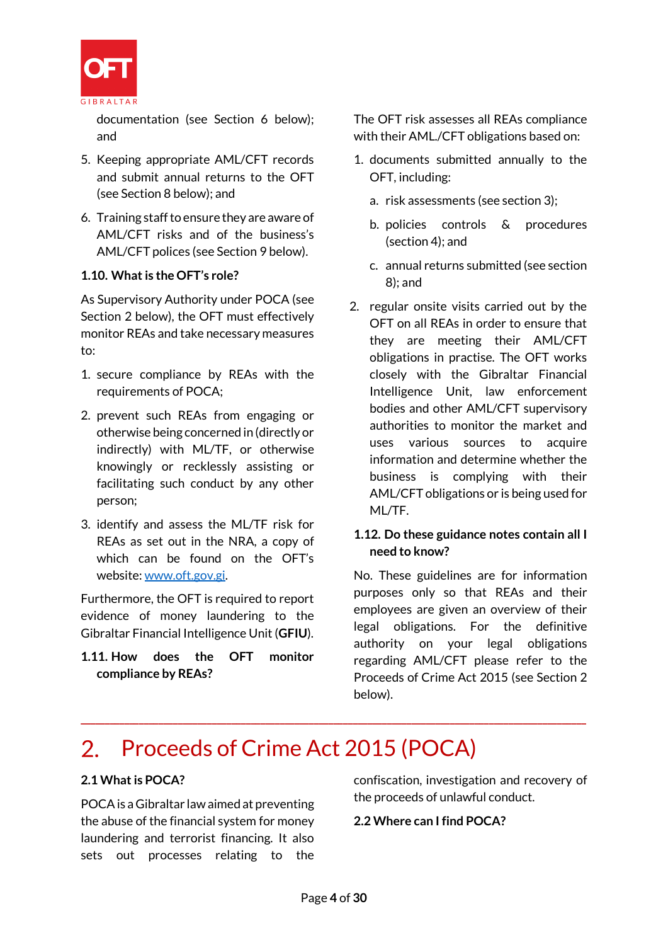

documentation (see Section 6 below); and

- 5. Keeping appropriate AML/CFT records and submit annual returns to the OFT (see Section 8 below); and
- 6. Training staff to ensure they are aware of AML/CFT risks and of the business's AML/CFT polices (see Section 9 below).

#### **1.10. What is the OFT's role?**

As Supervisory Authority under POCA (see Section 2 below), the OFT must effectively monitor REAs and take necessary measures to:

- 1. secure compliance by REAs with the requirements of POCA;
- 2. prevent such REAs from engaging or otherwise being concerned in (directly or indirectly) with ML/TF, or otherwise knowingly or recklessly assisting or facilitating such conduct by any other person;
- 3. identify and assess the ML/TF risk for REAs as set out in the NRA, a copy of which can be found on the OFT's website: [www.oft.gov.gi.](http://www.oft.gov.gi/)

Furthermore, the OFT is required to report evidence of money laundering to the Gibraltar Financial Intelligence Unit (**GFIU**).

**1.11. How does the OFT monitor compliance by REAs?**

The OFT risk assesses all REAs compliance with their AML./CFT obligations based on:

- 1. documents submitted annually to the OFT, including:
	- a. risk assessments (see section 3);
	- b. policies controls & procedures (section 4); and
	- c. annual returns submitted (see section 8); and
- 2. regular onsite visits carried out by the OFT on all REAs in order to ensure that they are meeting their AML/CFT obligations in practise. The OFT works closely with the Gibraltar Financial Intelligence Unit, law enforcement bodies and other AML/CFT supervisory authorities to monitor the market and uses various sources to acquire information and determine whether the business is complying with their AML/CFT obligations or is being used for ML/TF.

#### **1.12. Do these guidance notes contain all I need to know?**

No. These guidelines are for information purposes only so that REAs and their employees are given an overview of their legal obligations. For the definitive authority on your legal obligations regarding AML/CFT please refer to the Proceeds of Crime Act 2015 (see Section 2 below).

# 2. Proceeds of Crime Act 2015 (POCA)

#### **2.1 What is POCA?**

POCAis a Gibraltar law aimed at preventing the abuse of the financial system for money laundering and terrorist financing. It also sets out processes relating to the confiscation, investigation and recovery of the proceeds of unlawful conduct.

#### **2.2 Where can I find POCA?**

**\_\_\_\_\_\_\_\_\_\_\_\_\_\_\_\_\_\_\_\_\_\_\_\_\_\_\_\_\_\_\_\_\_\_\_\_\_\_\_\_\_\_\_\_\_\_\_\_\_\_\_\_\_\_\_\_\_\_\_\_\_\_\_\_\_\_\_\_\_\_\_\_\_\_\_\_\_\_\_\_\_\_\_\_\_\_\_\_\_\_\_\_\_\_\_\_\_\_\_\_\_\_\_\_**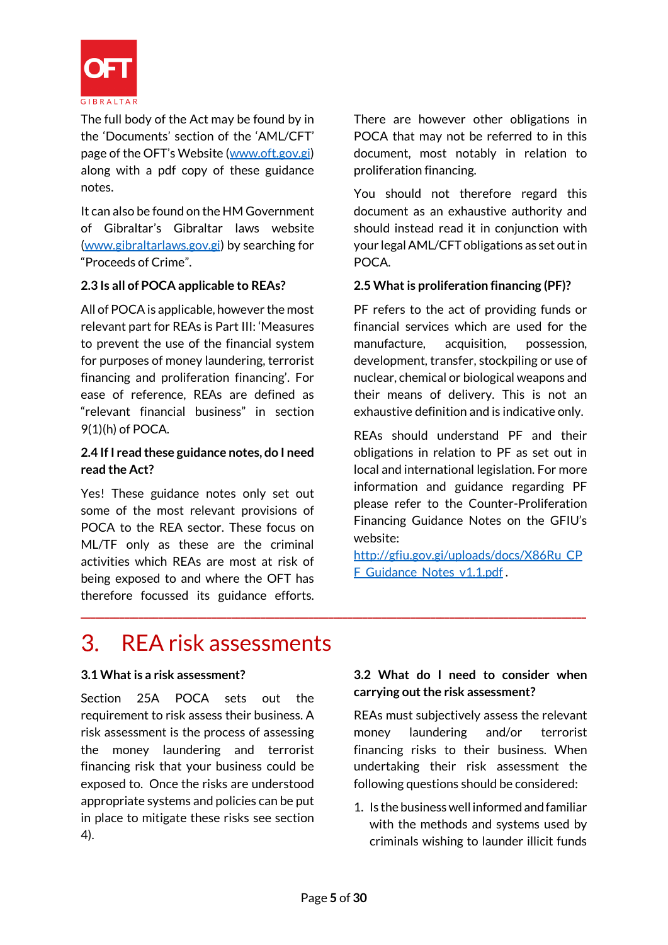

The full body of the Act may be found by in the 'Documents' section of the 'AML/CFT' page of the OFT's Website ([www.oft.gov.gi\)](http://www.oft.gov.gi/) along with a pdf copy of these guidance notes.

It can also be found on the HM Government of Gibraltar's Gibraltar laws website [\(www.gibraltarlaws.gov.gi\)](http://www.gibraltarlaws.gov.gi/) by searching for "Proceeds of Crime".

#### **2.3 Is all of POCA applicable to REAs?**

All of POCA is applicable, however the most relevant part for REAs is Part III: 'Measures to prevent the use of the financial system for purposes of money laundering, terrorist financing and proliferation financing'. For ease of reference, REAs are defined as "relevant financial business" in section 9(1)(h) of POCA.

#### **2.4 If I read these guidance notes, do I need read the Act?**

Yes! These guidance notes only set out some of the most relevant provisions of POCA to the REA sector. These focus on ML/TF only as these are the criminal activities which REAs are most at risk of being exposed to and where the OFT has therefore focussed its guidance efforts. There are however other obligations in POCA that may not be referred to in this document, most notably in relation to proliferation financing.

You should not therefore regard this document as an exhaustive authority and should instead read it in conjunction with your legal AML/CFT obligations as set out in POCA.

#### **2.5 What is proliferation financing (PF)?**

PF refers to the act of providing funds or financial services which are used for the manufacture, acquisition, possession, development, transfer, stockpiling or use of nuclear, chemical or biological weapons and their means of delivery. This is not an exhaustive definition and is indicative only.

REAs should understand PF and their obligations in relation to PF as set out in local and international legislation. For more information and guidance regarding PF please refer to the Counter-Proliferation Financing Guidance Notes on the GFIU's website:

[http://gfiu.gov.gi/uploads/docs/X86Ru\\_CP](http://gfiu.gov.gi/uploads/docs/X86Ru_CPF_Guidance_Notes_v1.1.pdf) F Guidance Notes v1.1.pdf.

#### REA risk assessments  $\mathcal{S}$

#### **3.1 What is a risk assessment?**

Section 25A POCA sets out the requirement to risk assess their business. A risk assessment is the process of assessing the money laundering and terrorist financing risk that your business could be exposed to. Once the risks are understood appropriate systems and policies can be put in place to mitigate these risks see section 4).

#### **3.2 What do I need to consider when carrying out the risk assessment?**

REAs must subjectively assess the relevant money laundering and/or terrorist financing risks to their business. When undertaking their risk assessment the following questions should be considered:

1. Is the business well informed and familiar with the methods and systems used by criminals wishing to launder illicit funds

**\_\_\_\_\_\_\_\_\_\_\_\_\_\_\_\_\_\_\_\_\_\_\_\_\_\_\_\_\_\_\_\_\_\_\_\_\_\_\_\_\_\_\_\_\_\_\_\_\_\_\_\_\_\_\_\_\_\_\_\_\_\_\_\_\_\_\_\_\_\_\_\_\_\_\_\_\_\_\_\_\_\_\_\_\_\_\_\_\_\_\_\_\_\_\_\_\_\_\_\_\_\_\_\_**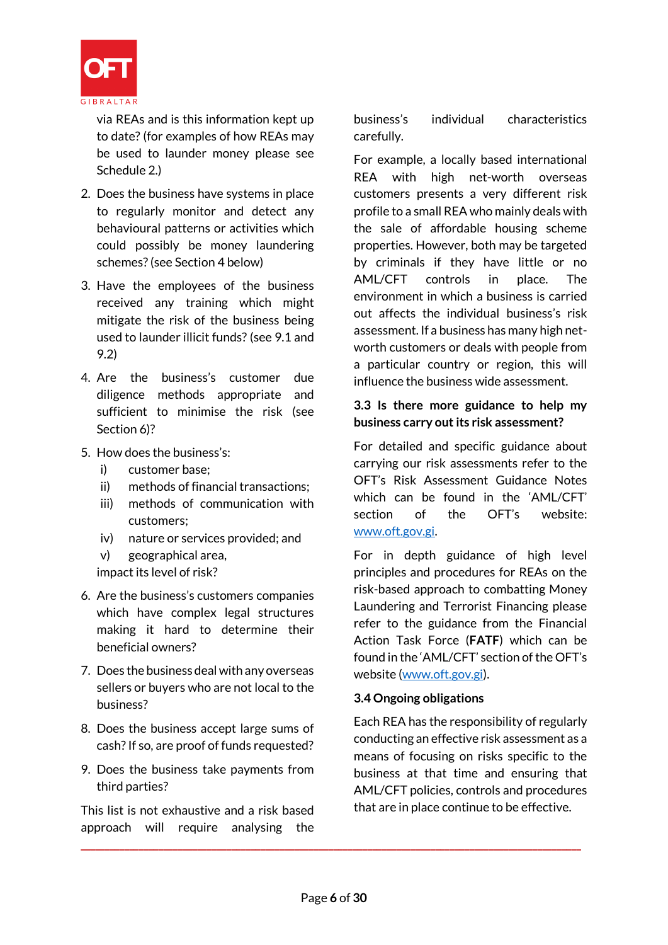

via REAs and is this information kept up to date? (for examples of how REAs may be used to launder money please see Schedule 2.)

- 2. Does the business have systems in place to regularly monitor and detect any behavioural patterns or activities which could possibly be money laundering schemes?(see Section 4 below)
- 3. Have the employees of the business received any training which might mitigate the risk of the business being used to launder illicit funds? (see 9.1 and 9.2)
- 4. Are the business's customer due diligence methods appropriate and sufficient to minimise the risk (see Section 6)?
- 5. How does the business's:
	- i) customer base;
	- ii) methods of financial transactions;
	- iii) methods of communication with customers;
	- iv) nature or services provided; and

v) geographical area, impact its level of risk?

- 6. Are the business's customers companies which have complex legal structures making it hard to determine their beneficial owners?
- 7. Does the business deal with any overseas sellers or buyers who are not local to the business?
- 8. Does the business accept large sums of cash? If so, are proof of funds requested?
- 9. Does the business take payments from third parties?

This list is not exhaustive and a risk based approach will require analysing the business's individual characteristics carefully.

For example, a locally based international REA with high net-worth overseas customers presents a very different risk profile to a small REA who mainly deals with the sale of affordable housing scheme properties. However, both may be targeted by criminals if they have little or no AML/CFT controls in place. The environment in which a business is carried out affects the individual business's risk assessment. If a business has many high networth customers or deals with people from a particular country or region, this will influence the business wide assessment.

#### **3.3 Is there more guidance to help my business carry out its risk assessment?**

For detailed and specific guidance about carrying our risk assessments refer to the OFT's Risk Assessment Guidance Notes which can be found in the 'AML/CFT' section of the OFT's website: [www.oft.gov.gi.](http://www.oft.gov.gi/)

For in depth guidance of high level principles and procedures for REAs on the risk-based approach to combatting Money Laundering and Terrorist Financing please refer to the guidance from the Financial Action Task Force (**FATF**) which can be found in the 'AML/CFT' section of the OFT's website [\(www.oft.gov.gi\)](http://www.oft.gov.gi/).

#### **3.4 Ongoing obligations**

Each REA has the responsibility of regularly conducting an effective risk assessment as a means of focusing on risks specific to the business at that time and ensuring that AML/CFT policies, controls and procedures that are in place continue to be effective.

**\_\_\_\_\_\_\_\_\_\_\_\_\_\_\_\_\_\_\_\_\_\_\_\_\_\_\_\_\_\_\_\_\_\_\_\_\_\_\_\_\_\_\_\_\_\_\_\_\_\_\_\_\_\_\_\_\_\_\_\_\_\_\_\_\_\_\_\_\_\_\_\_\_\_\_\_\_\_\_\_\_\_\_\_\_\_\_\_\_\_\_\_\_\_\_\_\_\_\_\_\_\_\_**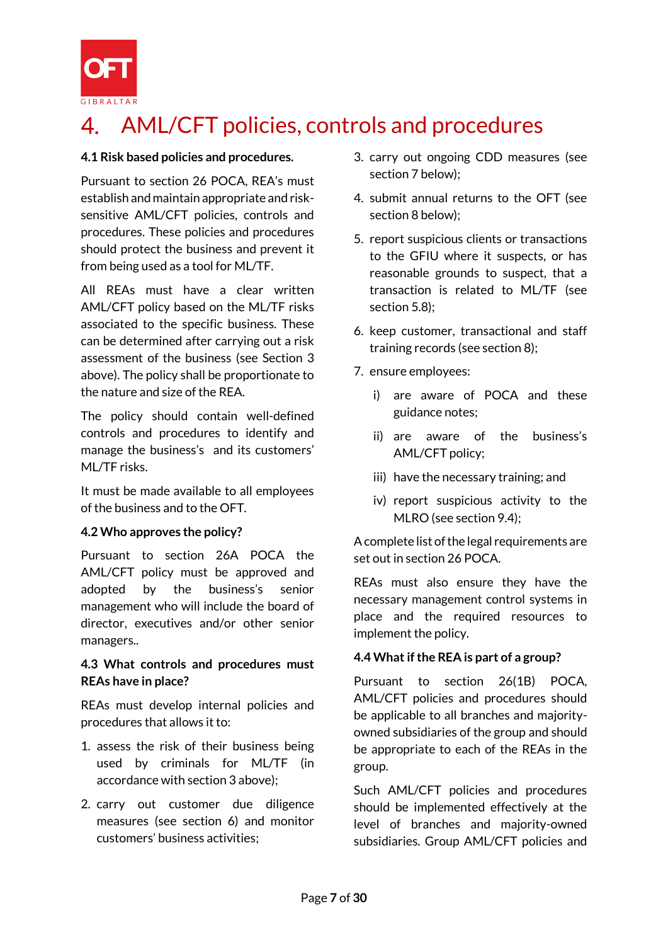

# AML/CFT policies, controls and procedures

#### **4.1 Risk based policies and procedures.**

Pursuant to section 26 POCA, REA's must establish and maintain appropriate and risksensitive AML/CFT policies, controls and procedures. These policies and procedures should protect the business and prevent it from being used as a tool for ML/TF.

All REAs must have a clear written AML/CFT policy based on the ML/TF risks associated to the specific business. These can be determined after carrying out a risk assessment of the business (see Section 3 above). The policy shall be proportionate to the nature and size of the REA.

The policy should contain well-defined controls and procedures to identify and manage the business's and its customers' ML/TF risks.

It must be made available to all employees of the business and to the OFT.

#### **4.2 Who approves the policy?**

Pursuant to section 26A POCA the AML/CFT policy must be approved and adopted by the business's senior management who will include the board of director, executives and/or other senior managers..

#### **4.3 What controls and procedures must REAs have in place?**

REAs must develop internal policies and procedures that allows it to:

- 1. assess the risk of their business being used by criminals for ML/TF (in accordance with section 3 above);
- 2. carry out customer due diligence measures (see section 6) and monitor customers' business activities;
- 3. carry out ongoing CDD measures (see section 7 below);
- 4. submit annual returns to the OFT (see section 8 below);
- 5. report suspicious clients or transactions to the GFIU where it suspects, or has reasonable grounds to suspect, that a transaction is related to ML/TF (see section 5.8);
- 6. keep customer, transactional and staff training records (see section 8);
- 7. ensure employees:
	- i) are aware of POCA and these guidance notes;
	- ii) are aware of the business's AML/CFT policy;
	- iii) have the necessary training; and
	- iv) report suspicious activity to the MLRO (see section 9.4);

A complete list of the legal requirements are set out in section 26 POCA.

REAs must also ensure they have the necessary management control systems in place and the required resources to implement the policy.

#### **4.4 What if the REA is part of a group?**

Pursuant to section 26(1B) POCA, AML/CFT policies and procedures should be applicable to all branches and majorityowned subsidiaries of the group and should be appropriate to each of the REAs in the group.

Such AML/CFT policies and procedures should be implemented effectively at the level of branches and majority-owned subsidiaries. Group AML/CFT policies and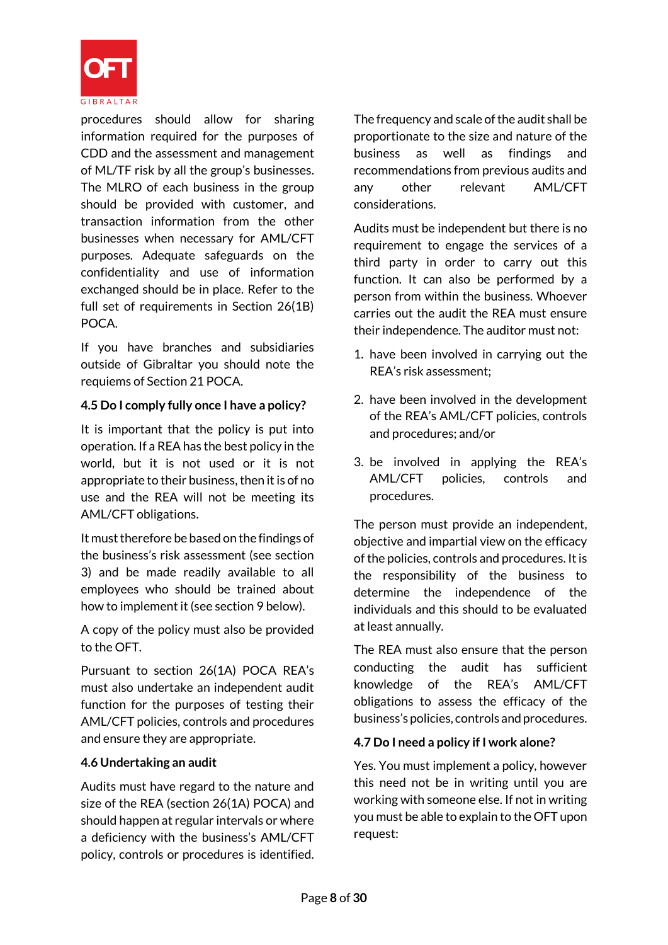

procedures should allow for sharing information required for the purposes of CDD and the assessment and management of ML/TF risk by all the group's businesses. The MLRO of each business in the group should be provided with customer, and transaction information from the other businesses when necessary for AML/CFT purposes. Adequate safeguards on the confidentiality and use of information exchanged should be in place. Refer to the full set of requirements in Section 26(1B) POCA.

If you have branches and subsidiaries outside of Gibraltar you should note the requiems of Section 21 POCA.

#### **4.5 Do I comply fully once I have a policy?**

It is important that the policy is put into operation. If a REA has the best policy in the world, but it is not used or it is not appropriate to their business, then it is of no use and the REA will not be meeting its AML/CFT obligations.

It must therefore be based on the findings of the business's risk assessment (see section 3) and be made readily available to all employees who should be trained about how to implement it (see section 9 below).

A copy of the policy must also be provided to the OFT.

Pursuant to section 26(1A) POCA REA's must also undertake an independent audit function for the purposes of testing their AML/CFT policies, controls and procedures and ensure they are appropriate.

#### **4.6 Undertaking an audit**

Audits must have regard to the nature and size of the REA (section 26(1A) POCA) and should happen at regular intervals or where a deficiency with the business's AML/CFT policy, controls or procedures is identified. The frequency and scale of the audit shall be proportionate to the size and nature of the business as well as findings and recommendations from previous audits and any other relevant AML/CFT considerations.

Audits must be independent but there is no requirement to engage the services of a third party in order to carry out this function. It can also be performed by a person from within the business. Whoever carries out the audit the REA must ensure their independence. The auditor must not:

- 1. have been involved in carrying out the REA's risk assessment;
- 2. have been involved in the development of the REA's AML/CFT policies, controls and procedures; and/or
- 3. be involved in applying the REA's AML/CFT policies, controls and procedures.

The person must provide an independent, objective and impartial view on the efficacy of the policies, controls and procedures. It is the responsibility of the business to determine the independence of the individuals and this should to be evaluated at least annually.

The REA must also ensure that the person conducting the audit has sufficient knowledge of the REA's AML/CFT obligations to assess the efficacy of the business's policies, controls and procedures.

## **4.7 Do I need a policy if I work alone?**

Yes. You must implement a policy, however this need not be in writing until you are working with someone else. If not in writing you must be able to explain to the OFT upon request: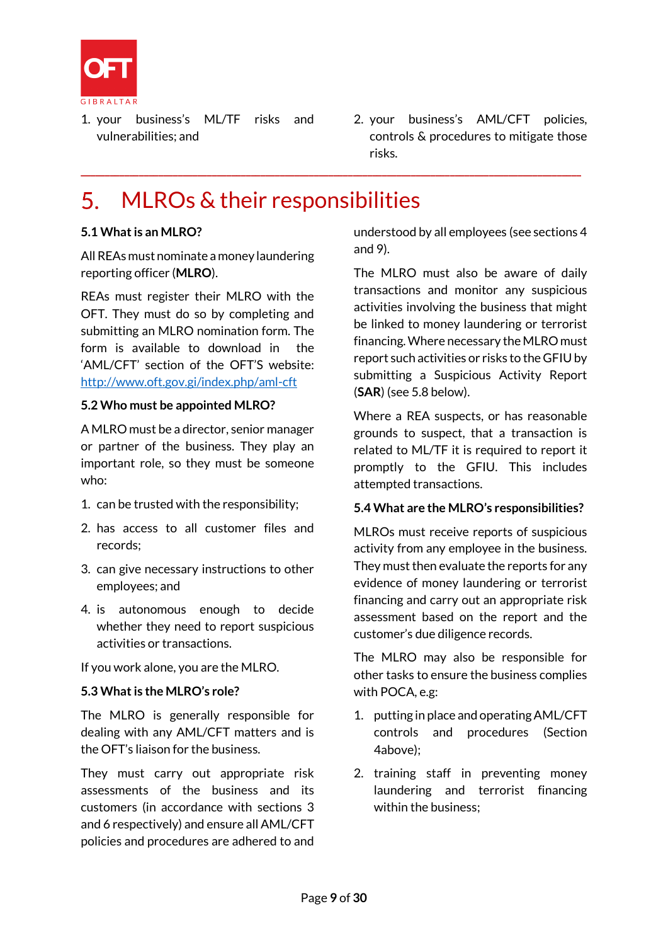

- 1. your business's ML/TF risks and vulnerabilities; and
- 2. your business's AML/CFT policies, controls & procedures to mitigate those risks.

# MLROs & their responsibilities

**\_\_\_\_\_\_\_\_\_\_\_\_\_\_\_\_\_\_\_\_\_\_\_\_\_\_\_\_\_\_\_\_\_\_\_\_\_\_\_\_\_\_\_\_\_\_\_\_\_\_\_\_\_\_\_\_\_\_\_\_\_\_\_\_\_\_\_\_\_\_\_\_\_\_\_\_\_\_\_\_\_\_\_\_\_\_\_\_\_\_\_\_\_\_\_\_\_\_\_\_\_\_\_**

#### **5.1 What is an MLRO?**

All REAs must nominate a money laundering reporting officer (**MLRO**).

REAs must register their MLRO with the OFT. They must do so by completing and submitting an MLRO nomination form. The form is available to download in the 'AML/CFT' section of the OFT'S website: <http://www.oft.gov.gi/index.php/aml-cft>

#### **5.2 Who must be appointed MLRO?**

A MLRO must be a director, senior manager or partner of the business. They play an important role, so they must be someone who:

- 1. can be trusted with the responsibility;
- 2. has access to all customer files and records;
- 3. can give necessary instructions to other employees; and
- 4. is autonomous enough to decide whether they need to report suspicious activities or transactions.

If you work alone, you are the MLRO.

#### **5.3 What is the MLRO's role?**

The MLRO is generally responsible for dealing with any AML/CFT matters and is the OFT's liaison for the business.

They must carry out appropriate risk assessments of the business and its customers (in accordance with sections 3 and 6 respectively) and ensure all AML/CFT policies and procedures are adhered to and understood by all employees (see sections 4 and 9).

The MLRO must also be aware of daily transactions and monitor any suspicious activities involving the business that might be linked to money laundering or terrorist financing. Where necessary the MLRO must report such activities or risks to the GFIU by submitting a Suspicious Activity Report (**SAR**) (see 5.8 below).

Where a REA suspects, or has reasonable grounds to suspect, that a transaction is related to ML/TF it is required to report it promptly to the GFIU. This includes attempted transactions.

#### **5.4 What are the MLRO's responsibilities?**

MLROs must receive reports of suspicious activity from any employee in the business. They must then evaluate the reports for any evidence of money laundering or terrorist financing and carry out an appropriate risk assessment based on the report and the customer's due diligence records.

The MLRO may also be responsible for other tasks to ensure the business complies with POCA, e.g:

- 1. putting in place and operating AML/CFT controls and procedures (Section 4above);
- 2. training staff in preventing money laundering and terrorist financing within the business;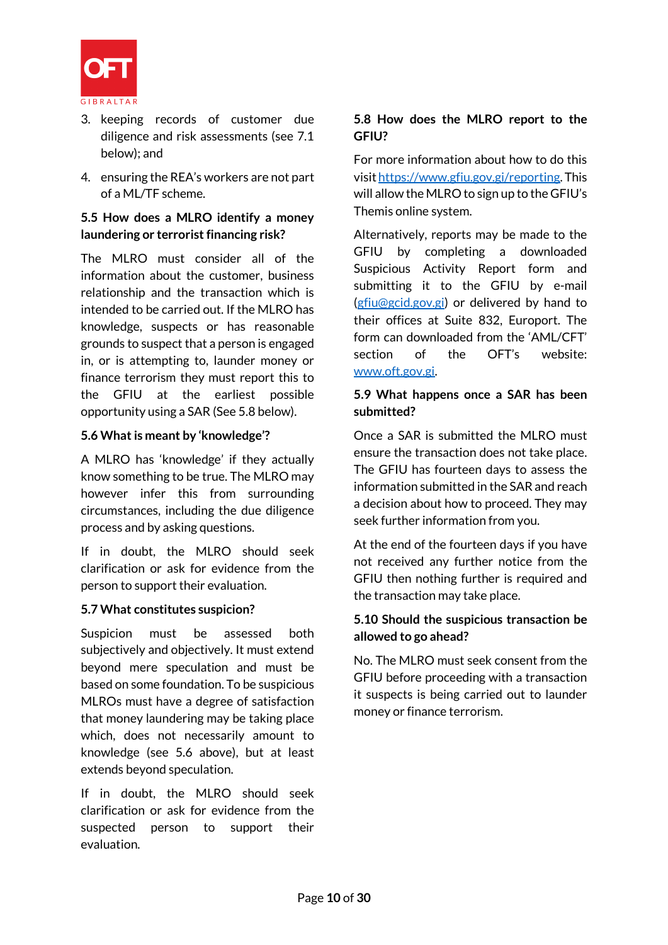

- 3. keeping records of customer due diligence and risk assessments (see 7.1 below); and
- 4. ensuring the REA's workers are not part of a ML/TF scheme.

### **5.5 How does a MLRO identify a money laundering or terrorist financing risk?**

The MLRO must consider all of the information about the customer, business relationship and the transaction which is intended to be carried out. If the MLRO has knowledge, suspects or has reasonable grounds to suspect that a person is engaged in, or is attempting to, launder money or finance terrorism they must report this to the GFIU at the earliest possible opportunity using a SAR (See 5.8 below).

#### **5.6 What is meant by 'knowledge'?**

A MLRO has 'knowledge' if they actually know something to be true. The MLRO may however infer this from surrounding circumstances, including the due diligence process and by asking questions.

If in doubt, the MLRO should seek clarification or ask for evidence from the person to support their evaluation.

#### **5.7 What constitutes suspicion?**

Suspicion must be assessed both subjectively and objectively. It must extend beyond mere speculation and must be based on some foundation. To be suspicious MLROs must have a degree of satisfaction that money laundering may be taking place which, does not necessarily amount to knowledge (see 5.6 above), but at least extends beyond speculation.

If in doubt, the MLRO should seek clarification or ask for evidence from the suspected person to support their evaluation.

#### **5.8 How does the MLRO report to the GFIU?**

For more information about how to do this visi[t https://www.gfiu.gov.gi/reporting.](https://www.gfiu.gov.gi/reporting) This will allow the MLRO to sign up to the GFIU's Themis online system.

Alternatively, reports may be made to the GFIU by completing a downloaded Suspicious Activity Report form and submitting it to the GFIU by e-mail [\(gfiu@gcid.gov.gi\)](mailto:gfiu@gcid.gov.gi) or delivered by hand to their offices at Suite 832, Europort. The form can downloaded from the 'AML/CFT' section of the OFT's website: [www.oft.gov.gi.](http://www.oft.gov.gi/)

#### **5.9 What happens once a SAR has been submitted?**

Once a SAR is submitted the MLRO must ensure the transaction does not take place. The GFIU has fourteen days to assess the information submitted in the SAR and reach a decision about how to proceed. They may seek further information from you.

At the end of the fourteen days if you have not received any further notice from the GFIU then nothing further is required and the transaction may take place.

#### **5.10 Should the suspicious transaction be allowed to go ahead?**

No. The MLRO must seek consent from the GFIU before proceeding with a transaction it suspects is being carried out to launder money or finance terrorism.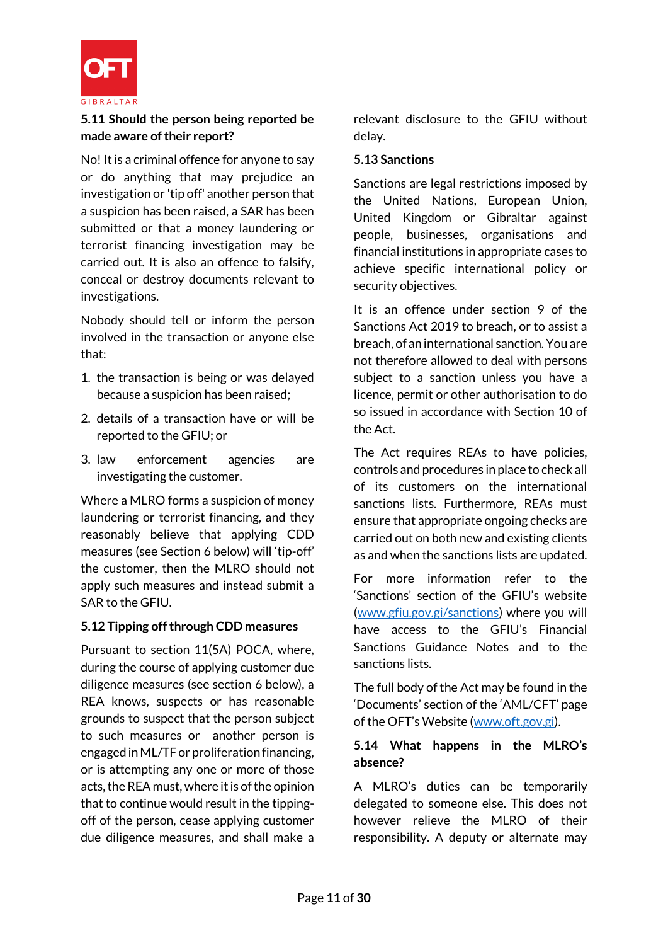

#### **5.11 Should the person being reported be made aware of their report?**

No! It is a criminal offence for anyone to say or do anything that may prejudice an investigation or 'tip off' another person that a suspicion has been raised, a SAR has been submitted or that a money laundering or terrorist financing investigation may be carried out. It is also an offence to falsify, conceal or destroy documents relevant to investigations.

Nobody should tell or inform the person involved in the transaction or anyone else that:

- 1. the transaction is being or was delayed because a suspicion has been raised;
- 2. details of a transaction have or will be reported to the GFIU; or
- 3. law enforcement agencies are investigating the customer.

Where a MLRO forms a suspicion of money laundering or terrorist financing, and they reasonably believe that applying CDD measures (see Section 6 below) will 'tip-off' the customer, then the MLRO should not apply such measures and instead submit a SAR to the GFIU.

#### **5.12 Tipping off through CDD measures**

Pursuant to section 11(5A) POCA, where, during the course of applying customer due diligence measures (see section 6 below), a REA knows, suspects or has reasonable grounds to suspect that the person subject to such measures or another person is engaged in ML/TF or proliferation financing, or is attempting any one or more of those acts, the REA must, where it is of the opinion that to continue would result in the tippingoff of the person, cease applying customer due diligence measures, and shall make a relevant disclosure to the GFIU without delay.

#### **5.13 Sanctions**

Sanctions are legal restrictions imposed by the United Nations, European Union, United Kingdom or Gibraltar against people, businesses, organisations and financial institutions in appropriate cases to achieve specific international policy or security objectives.

It is an offence under section 9 of the Sanctions Act 2019 to breach, or to assist a breach, of an international sanction. You are not therefore allowed to deal with persons subject to a sanction unless you have a licence, permit or other authorisation to do so issued in accordance with Section 10 of the Act.

The Act requires REAs to have policies, controls and procedures in place to check all of its customers on the international sanctions lists. Furthermore, REAs must ensure that appropriate ongoing checks are carried out on both new and existing clients as and when the sanctions lists are updated.

For more information refer to the 'Sanctions' section of the GFIU's website [\(www.gfiu.gov.gi/sanctions\)](http://www.gfiu.gov.gi/sanctions) where you will have access to the GFIU's Financial Sanctions Guidance Notes and to the sanctions lists.

The full body of the Act may be found in the 'Documents' section of the 'AML/CFT' page of the OFT's Website ([www.oft.gov.gi\)](http://www.oft.gov.gi/).

#### **5.14 What happens in the MLRO's absence?**

A MLRO's duties can be temporarily delegated to someone else. This does not however relieve the MLRO of their responsibility. A deputy or alternate may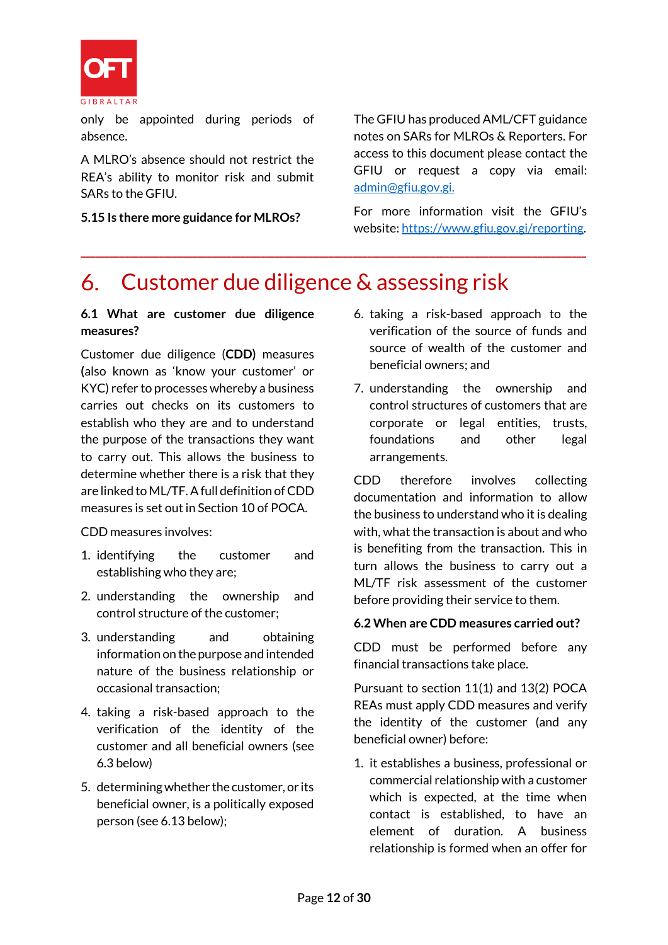

only be appointed during periods of absence.

A MLRO's absence should not restrict the REA's ability to monitor risk and submit SARs to the GFIU.

**5.15 Is there more guidance for MLROs?**

The GFIU has produced AML/CFT guidance notes on SARs for MLROs & Reporters. For access to this document please contact the GFIU or request a copy via email: [admin@gfiu.gov.gi.](mailto:admin@gfiu.gov.gi)

For more information visit the GFIU's website[: https://www.gfiu.gov.gi/reporting.](https://www.gfiu.gov.gi/reporting)

#### Customer due diligence & assessing risk 6.

**\_\_\_\_\_\_\_\_\_\_\_\_\_\_\_\_\_\_\_\_\_\_\_\_\_\_\_\_\_\_\_\_\_\_\_\_\_\_\_\_\_\_\_\_\_\_\_\_\_\_\_\_\_\_\_\_\_\_\_\_\_\_\_\_\_\_\_\_\_\_\_\_\_\_\_\_\_\_\_\_\_\_\_\_\_\_\_\_\_\_\_\_\_\_\_\_\_\_\_\_\_\_\_\_**

#### **6.1 What are customer due diligence measures?**

Customer due diligence (**CDD)** measures **(**also known as 'know your customer' or KYC) refer to processes whereby a business carries out checks on its customers to establish who they are and to understand the purpose of the transactions they want to carry out. This allows the business to determine whether there is a risk that they are linked to ML/TF. A full definition of CDD measures is set out in Section 10 of POCA.

CDD measures involves:

- 1. identifying the customer and establishing who they are;
- 2. understanding the ownership and control structure of the customer;
- 3. understanding and obtaining information on the purpose and intended nature of the business relationship or occasional transaction;
- 4. taking a risk-based approach to the verification of the identity of the customer and all beneficial owners (see 6.3 below)
- 5. determining whether the customer, or its beneficial owner, is a politically exposed person (see 6.13 below);
- 6. taking a risk-based approach to the verification of the source of funds and source of wealth of the customer and beneficial owners; and
- 7. understanding the ownership and control structures of customers that are corporate or legal entities, trusts, foundations and other legal arrangements.

CDD therefore involves collecting documentation and information to allow the business to understand who it is dealing with, what the transaction is about and who is benefiting from the transaction. This in turn allows the business to carry out a ML/TF risk assessment of the customer before providing their service to them.

#### **6.2 When are CDD measures carried out?**

CDD must be performed before any financial transactions take place.

Pursuant to section 11(1) and 13(2) POCA REAs must apply CDD measures and verify the identity of the customer (and any beneficial owner) before:

1. it establishes a business, professional or commercial relationship with a customer which is expected, at the time when contact is established, to have an element of duration. A business relationship is formed when an offer for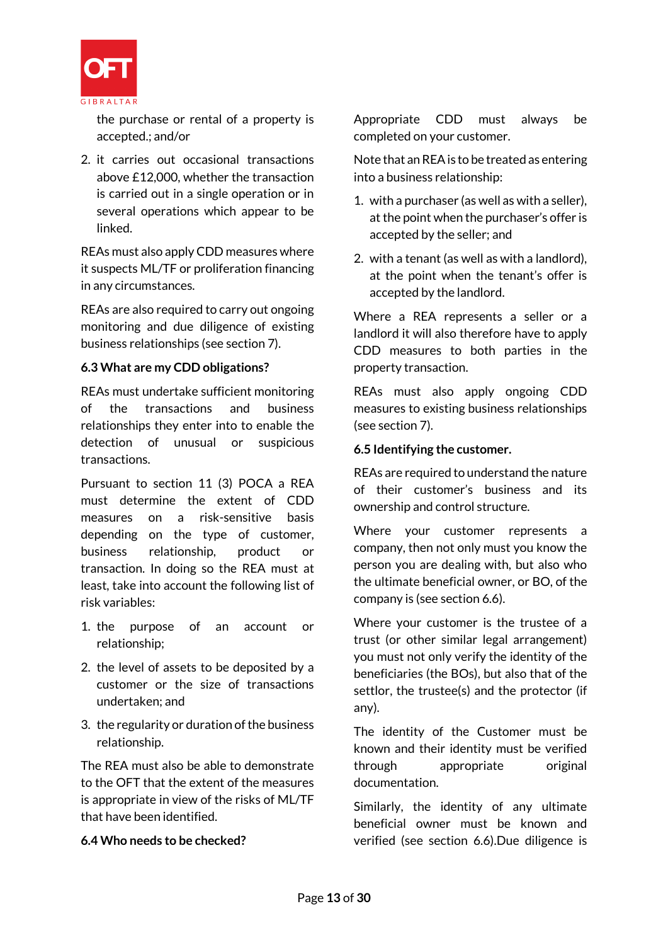

the purchase or rental of a property is accepted.; and/or

2. it carries out occasional transactions above £12,000, whether the transaction is carried out in a single operation or in several operations which appear to be linked.

REAs must also apply CDD measures where it suspects ML/TF or proliferation financing in any circumstances.

REAs are also required to carry out ongoing monitoring and due diligence of existing business relationships (see section 7).

#### **6.3 What are my CDD obligations?**

REAs must undertake sufficient monitoring of the transactions and business relationships they enter into to enable the detection of unusual or suspicious transactions.

Pursuant to section 11 (3) POCA a REA must determine the extent of CDD measures on a risk-sensitive basis depending on the type of customer, business relationship, product or transaction. In doing so the REA must at least, take into account the following list of risk variables:

- 1. the purpose of an account or relationship;
- 2. the level of assets to be deposited by a customer or the size of transactions undertaken; and
- 3. the regularity or duration of the business relationship.

The REA must also be able to demonstrate to the OFT that the extent of the measures is appropriate in view of the risks of ML/TF that have been identified.

## **6.4 Who needs to be checked?**

Appropriate CDD must always be completed on your customer.

Note that an REAis to be treated as entering into a business relationship:

- 1. with a purchaser (as well as with a seller), at the point when the purchaser's offer is accepted by the seller; and
- 2. with a tenant (as well as with a landlord), at the point when the tenant's offer is accepted by the landlord.

Where a REA represents a seller or a landlord it will also therefore have to apply CDD measures to both parties in the property transaction.

REAs must also apply ongoing CDD measures to existing business relationships (see section 7).

#### **6.5 Identifying the customer.**

REAs are required to understand the nature of their customer's business and its ownership and control structure.

Where your customer represents a company, then not only must you know the person you are dealing with, but also who the ultimate beneficial owner, or BO, of the company is (see section 6.6).

Where your customer is the trustee of a trust (or other similar legal arrangement) you must not only verify the identity of the beneficiaries (the BOs), but also that of the settlor, the trustee(s) and the protector (if any).

The identity of the Customer must be known and their identity must be verified through appropriate original documentation.

Similarly, the identity of any ultimate beneficial owner must be known and verified (see section 6.6).Due diligence is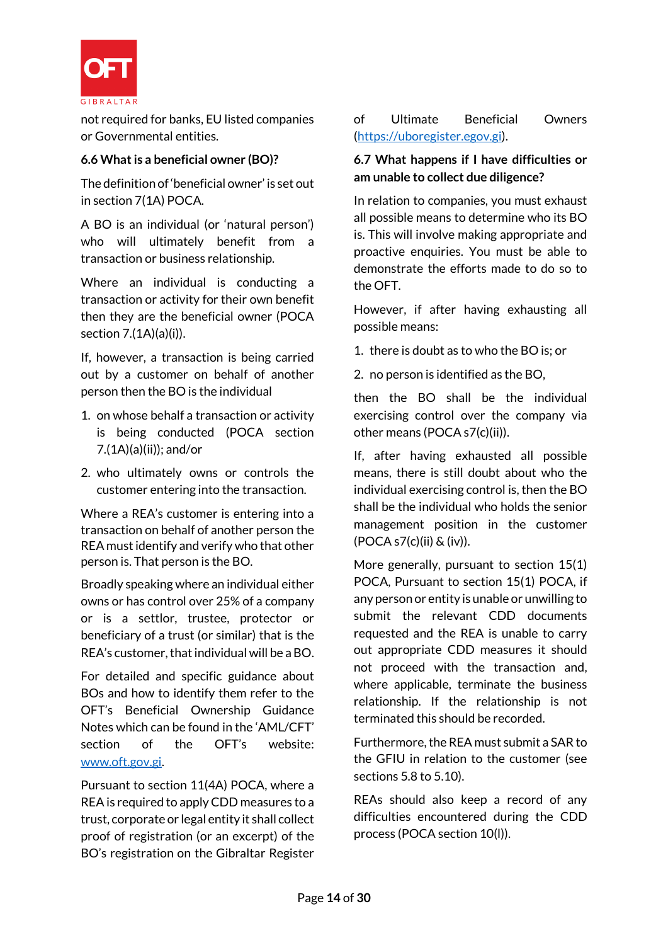

not required for banks, EU listed companies or Governmental entities.

### **6.6 What is a beneficial owner (BO)?**

The definition of 'beneficial owner' is set out in section 7(1A) POCA.

A BO is an individual (or 'natural person') who will ultimately benefit from a transaction or business relationship.

Where an individual is conducting a transaction or activity for their own benefit then they are the beneficial owner (POCA section 7.(1A)(a)(i)).

If, however, a transaction is being carried out by a customer on behalf of another person then the BO is the individual

- 1. on whose behalf a transaction or activity is being conducted (POCA section 7.(1A)(a)(ii)); and/or
- 2. who ultimately owns or controls the customer entering into the transaction.

Where a REA's customer is entering into a transaction on behalf of another person the REA must identify and verify who that other person is. That person is the BO.

Broadly speaking where an individual either owns or has control over 25% of a company or is a settlor, trustee, protector or beneficiary of a trust (or similar) that is the REA's customer, that individual will be a BO.

For detailed and specific guidance about BOs and how to identify them refer to the OFT's Beneficial Ownership Guidance Notes which can be found in the 'AML/CFT' section of the OFT's website: [www.oft.gov.gi.](http://www.oft.gov.gi/)

Pursuant to section 11(4A) POCA, where a REA is required to apply CDD measures to a trust, corporate or legal entity it shall collect proof of registration (or an excerpt) of the BO's registration on the Gibraltar Register

### of Ultimate Beneficial Owners [\(https://uboregister.egov.gi\)](https://uboregister.egov.gi/).

### **6.7 What happens if I have difficulties or am unable to collect due diligence?**

In relation to companies, you must exhaust all possible means to determine who its BO is. This will involve making appropriate and proactive enquiries. You must be able to demonstrate the efforts made to do so to the OFT.

However, if after having exhausting all possible means:

1. there is doubt as to who the BO is; or

2. no person is identified as the BO,

then the BO shall be the individual exercising control over the company via other means (POCA s7(c)(ii)).

If, after having exhausted all possible means, there is still doubt about who the individual exercising control is, then the BO shall be the individual who holds the senior management position in the customer (POCA s7(c)(ii) & (iv)).

More generally, pursuant to section 15(1) POCA, Pursuant to section 15(1) POCA, if any person or entity is unable or unwilling to submit the relevant CDD documents requested and the REA is unable to carry out appropriate CDD measures it should not proceed with the transaction and, where applicable, terminate the business relationship. If the relationship is not terminated this should be recorded.

Furthermore, the REA must submit a SAR to the GFIU in relation to the customer (see sections 5.8 to 5.10).

REAs should also keep a record of any difficulties encountered during the CDD process (POCA section 10(l)).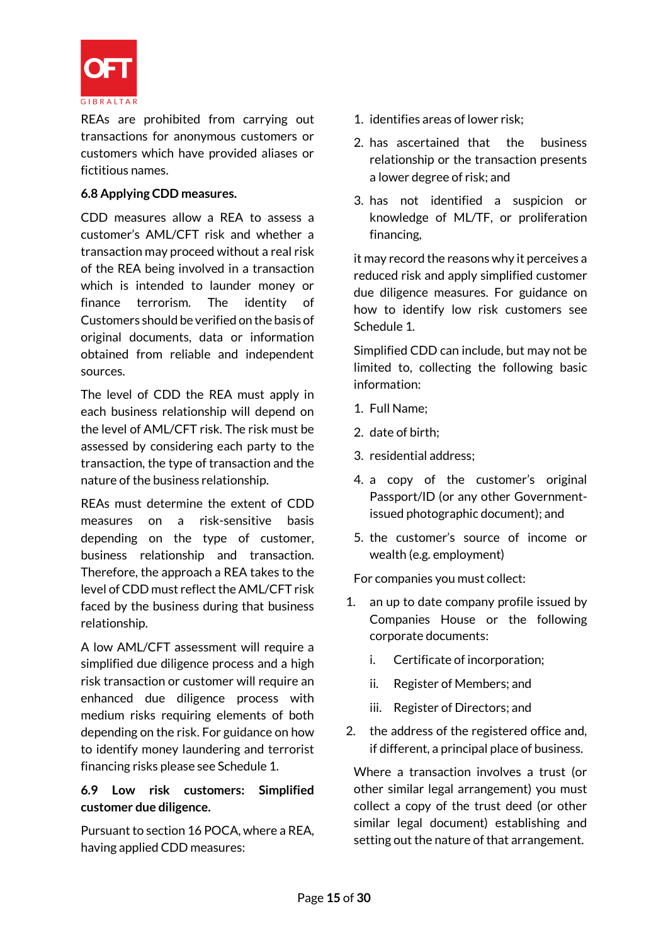

REAs are prohibited from carrying out transactions for anonymous customers or customers which have provided aliases or fictitious names.

#### **6.8 Applying CDD measures.**

CDD measures allow a REA to assess a customer's AML/CFT risk and whether a transaction may proceed without a real risk of the REA being involved in a transaction which is intended to launder money or finance terrorism. The identity of Customers should be verified on the basis of original documents, data or information obtained from reliable and independent sources.

The level of CDD the REA must apply in each business relationship will depend on the level of AML/CFT risk. The risk must be assessed by considering each party to the transaction, the type of transaction and the nature of the business relationship.

REAs must determine the extent of CDD measures on a risk-sensitive basis depending on the type of customer, business relationship and transaction. Therefore, the approach a REA takes to the level of CDD must reflect the AML/CFT risk faced by the business during that business relationship.

A low AML/CFT assessment will require a simplified due diligence process and a high risk transaction or customer will require an enhanced due diligence process with medium risks requiring elements of both depending on the risk. For guidance on how to identify money laundering and terrorist financing risks please see Schedule 1.

#### **6.9 Low risk customers: Simplified customer due diligence.**

Pursuant to section 16 POCA, where a REA, having applied CDD measures:

- 1. identifies areas of lower risk;
- 2. has ascertained that the business relationship or the transaction presents a lower degree of risk; and
- 3. has not identified a suspicion or knowledge of ML/TF, or proliferation financing,

it may record the reasons why it perceives a reduced risk and apply simplified customer due diligence measures. For guidance on how to identify low risk customers see Schedule 1.

Simplified CDD can include, but may not be limited to, collecting the following basic information:

- 1. Full Name;
- 2. date of birth;
- 3. residential address;
- 4. a copy of the customer's original Passport/ID (or any other Governmentissued photographic document); and
- 5. the customer's source of income or wealth (e.g. employment)

For companies you must collect:

- 1. an up to date company profile issued by Companies House or the following corporate documents:
	- i. Certificate of incorporation;
	- ii. Register of Members; and
	- iii. Register of Directors; and
- 2. the address of the registered office and, if different, a principal place of business.

Where a transaction involves a trust (or other similar legal arrangement) you must collect a copy of the trust deed (or other similar legal document) establishing and setting out the nature of that arrangement.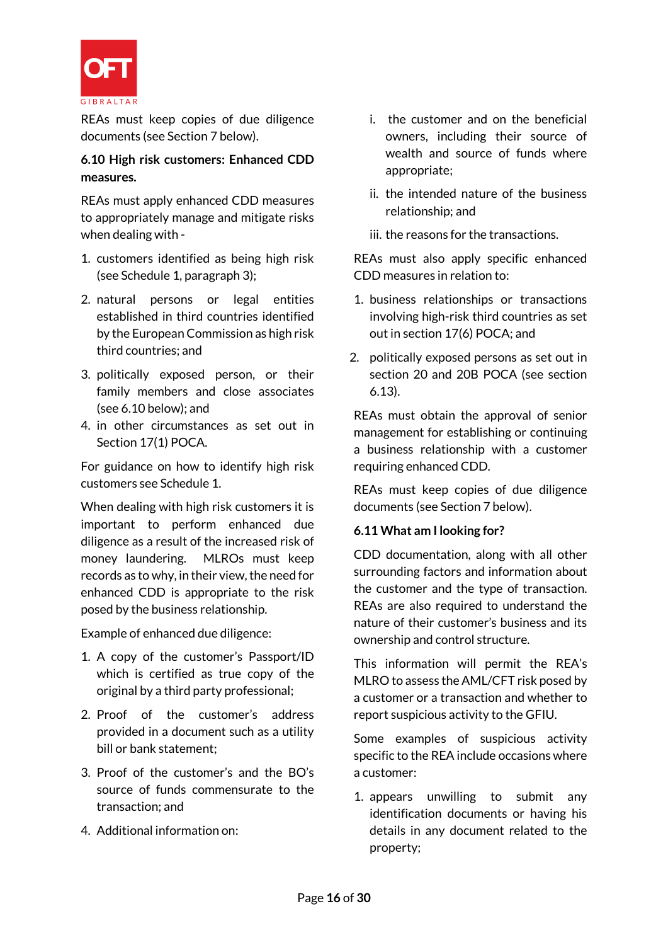

REAs must keep copies of due diligence documents (see Section 7 below).

## **6.10 High risk customers: Enhanced CDD measures.**

REAs must apply enhanced CDD measures to appropriately manage and mitigate risks when dealing with -

- 1. customers identified as being high risk (see Schedule 1, paragraph 3);
- 2. natural persons or legal entities established in third countries identified by the European Commission as high risk third countries; and
- 3. politically exposed person, or their family members and close associates (see 6.10 below); and
- 4. in other circumstances as set out in Section 17(1) POCA.

For guidance on how to identify high risk customers see Schedule 1.

When dealing with high risk customers it is important to perform enhanced due diligence as a result of the increased risk of money laundering. MLROs must keep records as to why, in their view, the need for enhanced CDD is appropriate to the risk posed by the business relationship.

Example of enhanced due diligence:

- 1. A copy of the customer's Passport/ID which is certified as true copy of the original by a third party professional;
- 2. Proof of the customer's address provided in a document such as a utility bill or bank statement;
- 3. Proof of the customer's and the BO's source of funds commensurate to the transaction; and
- 4. Additional information on:
- i. the customer and on the beneficial owners, including their source of wealth and source of funds where appropriate;
- ii. the intended nature of the business relationship; and
- iii. the reasons for the transactions.

REAs must also apply specific enhanced CDD measures in relation to:

- 1. business relationships or transactions involving high-risk third countries as set out in section 17(6) POCA; and
- 2. politically exposed persons as set out in section 20 and 20B POCA (see section 6.13).

REAs must obtain the approval of senior management for establishing or continuing a business relationship with a customer requiring enhanced CDD.

REAs must keep copies of due diligence documents (see Section 7 below).

#### **6.11 What am I looking for?**

CDD documentation, along with all other surrounding factors and information about the customer and the type of transaction. REAs are also required to understand the nature of their customer's business and its ownership and control structure.

This information will permit the REA's MLRO to assess the AML/CFT risk posed by a customer or a transaction and whether to report suspicious activity to the GFIU.

Some examples of suspicious activity specific to the REA include occasions where a customer:

1. appears unwilling to submit any identification documents or having his details in any document related to the property;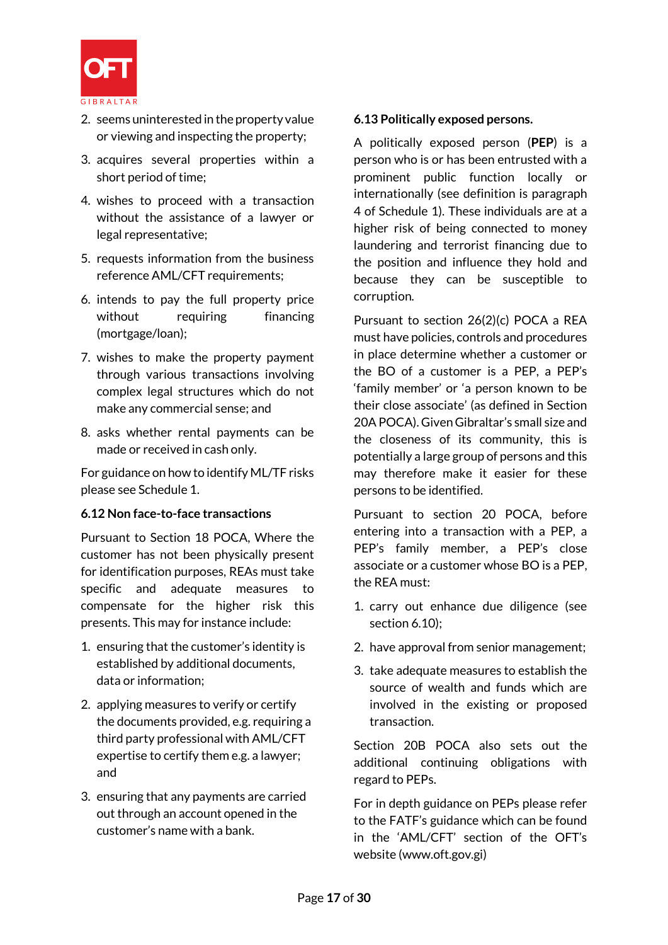

- 2. seems uninterested in the property value or viewing and inspecting the property;
- 3. acquires several properties within a short period of time;
- 4. wishes to proceed with a transaction without the assistance of a lawyer or legal representative;
- 5. requests information from the business reference AML/CFT requirements;
- 6. intends to pay the full property price without requiring financing (mortgage/loan);
- 7. wishes to make the property payment through various transactions involving complex legal structures which do not make any commercial sense; and
- 8. asks whether rental payments can be made or received in cash only.

For guidance on how to identify ML/TF risks please see Schedule 1.

#### **6.12 Non face-to-face transactions**

Pursuant to Section 18 POCA, Where the customer has not been physically present for identification purposes, REAs must take specific and adequate measures to compensate for the higher risk this presents. This may for instance include:

- 1. ensuring that the customer's identity is established by additional documents, data or information;
- 2. applying measures to verify or certify the documents provided, e.g. requiring a third party professional with AML/CFT expertise to certify them e.g. a lawyer; and
- 3. ensuring that any payments are carried out through an account opened in the customer's name with a bank.

#### **6.13 Politically exposed persons.**

A politically exposed person (**PEP**) is a person who is or has been entrusted with a prominent public function locally or internationally (see definition is paragraph 4 of Schedule 1). These individuals are at a higher risk of being connected to money laundering and terrorist financing due to the position and influence they hold and because they can be susceptible to corruption.

Pursuant to section 26(2)(c) POCA a REA must have policies, controls and procedures in place determine whether a customer or the BO of a customer is a PEP, a PEP's 'family member' or 'a person known to be their close associate' (as defined in Section 20A POCA). Given Gibraltar's small size and the closeness of its community, this is potentially a large group of persons and this may therefore make it easier for these persons to be identified.

Pursuant to section 20 POCA, before entering into a transaction with a PEP, a PEP's family member, a PEP's close associate or a customer whose BO is a PEP, the REA must:

- 1. carry out enhance due diligence (see section 6.10);
- 2. have approval from senior management;
- 3. take adequate measures to establish the source of wealth and funds which are involved in the existing or proposed transaction.

Section 20B POCA also sets out the additional continuing obligations with regard to PEPs.

For in depth guidance on PEPs please refer to the FATF's guidance which can be found in the 'AML/CFT' section of the OFT's website (www.oft.gov.gi)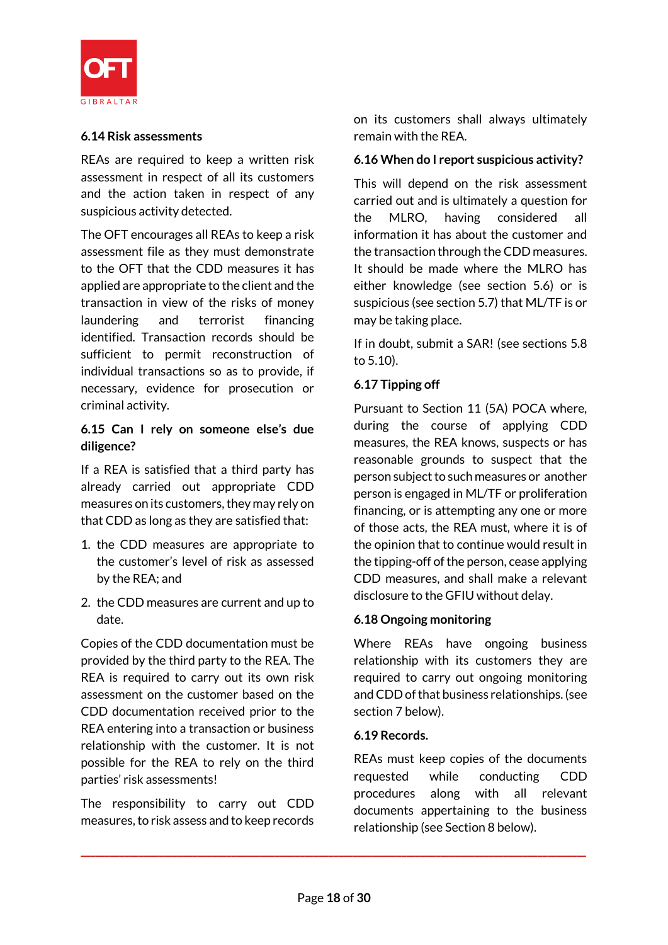

#### **6.14 Risk assessments**

REAs are required to keep a written risk assessment in respect of all its customers and the action taken in respect of any suspicious activity detected.

The OFT encourages all REAs to keep a risk assessment file as they must demonstrate to the OFT that the CDD measures it has applied are appropriate to the client and the transaction in view of the risks of money laundering and terrorist financing identified. Transaction records should be sufficient to permit reconstruction of individual transactions so as to provide, if necessary, evidence for prosecution or criminal activity.

### **6.15 Can I rely on someone else's due diligence?**

If a REA is satisfied that a third party has already carried out appropriate CDD measures on its customers, they may rely on that CDD as long as they are satisfied that:

- 1. the CDD measures are appropriate to the customer's level of risk as assessed by the REA; and
- 2. the CDD measures are current and up to date.

Copies of the CDD documentation must be provided by the third party to the REA. The REA is required to carry out its own risk assessment on the customer based on the CDD documentation received prior to the REA entering into a transaction or business relationship with the customer. It is not possible for the REA to rely on the third parties' risk assessments!

The responsibility to carry out CDD measures, to risk assess and to keep records on its customers shall always ultimately remain with the REA.

#### **6.16 When do I report suspicious activity?**

This will depend on the risk assessment carried out and is ultimately a question for the MLRO, having considered all information it has about the customer and the transaction through the CDD measures. It should be made where the MLRO has either knowledge (see section 5.6) or is suspicious (see section 5.7) that ML/TF is or may be taking place.

If in doubt, submit a SAR! (see sections 5.8 to 5.10).

# **6.17 Tipping off**

Pursuant to Section 11 (5A) POCA where, during the course of applying CDD measures, the REA knows, suspects or has reasonable grounds to suspect that the person subject to such measures or another person is engaged in ML/TF or proliferation financing, or is attempting any one or more of those acts, the REA must, where it is of the opinion that to continue would result in the tipping-off of the person, cease applying CDD measures, and shall make a relevant disclosure to the GFIU without delay.

## **6.18 Ongoing monitoring**

Where REAs have ongoing business relationship with its customers they are required to carry out ongoing monitoring and CDD of that business relationships. (see section 7 below).

#### **6.19 Records.**

REAs must keep copies of the documents requested while conducting CDD procedures along with all relevant documents appertaining to the business relationship (see Section 8 below).

**\_\_\_\_\_\_\_\_\_\_\_\_\_\_\_\_\_\_\_\_\_\_\_\_\_\_\_\_\_\_\_\_\_\_\_\_\_\_\_\_\_\_\_\_\_\_\_\_\_\_\_\_\_\_\_\_\_\_\_\_\_\_\_\_\_\_\_\_\_\_\_\_\_\_\_\_\_\_\_\_\_\_\_\_\_\_\_\_\_\_\_\_\_\_\_\_\_\_\_\_\_\_\_\_**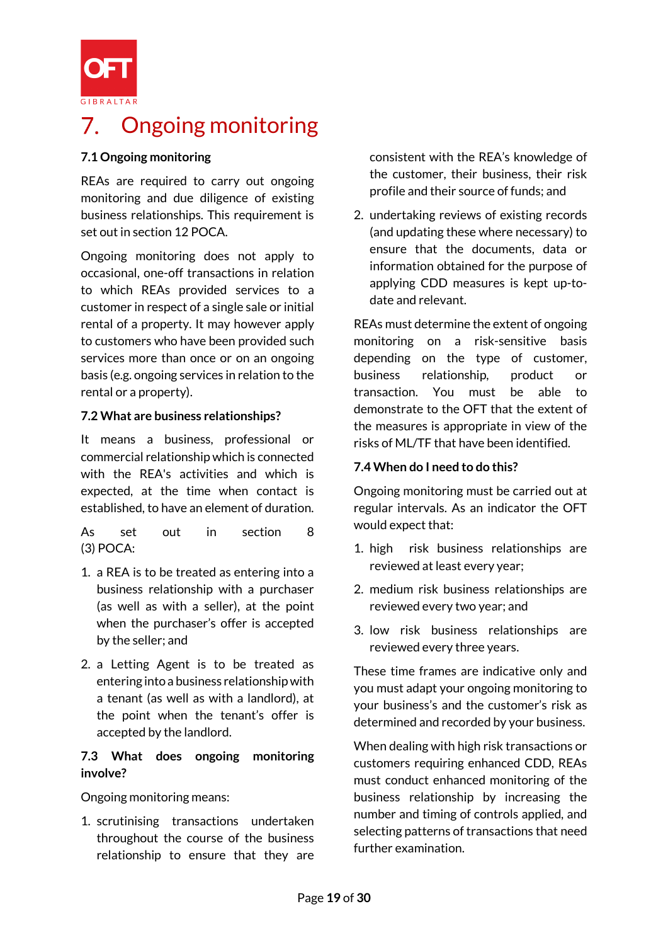

# 7. Ongoing monitoring

### **7.1 Ongoing monitoring**

REAs are required to carry out ongoing monitoring and due diligence of existing business relationships. This requirement is set out in section 12 POCA.

Ongoing monitoring does not apply to occasional, one-off transactions in relation to which REAs provided services to a customer in respect of a single sale or initial rental of a property. It may however apply to customers who have been provided such services more than once or on an ongoing basis (e.g. ongoing services in relation to the rental or a property).

#### **7.2 What are business relationships?**

It means a business, professional or commercial relationship which is connected with the REA's activities and which is expected, at the time when contact is established, to have an element of duration.

As set out in section 8 (3) POCA:

- 1. a REA is to be treated as entering into a business relationship with a purchaser (as well as with a seller), at the point when the purchaser's offer is accepted by the seller; and
- 2. a Letting Agent is to be treated as entering into a business relationship with a tenant (as well as with a landlord), at the point when the tenant's offer is accepted by the landlord.

#### **7.3 What does ongoing monitoring involve?**

Ongoing monitoring means:

1. scrutinising transactions undertaken throughout the course of the business relationship to ensure that they are consistent with the REA's knowledge of the customer, their business, their risk profile and their source of funds; and

2. undertaking reviews of existing records (and updating these where necessary) to ensure that the documents, data or information obtained for the purpose of applying CDD measures is kept up-todate and relevant.

REAs must determine the extent of ongoing monitoring on a risk-sensitive basis depending on the type of customer, business relationship, product or transaction. You must be able to demonstrate to the OFT that the extent of the measures is appropriate in view of the risks of ML/TF that have been identified.

#### **7.4 When do I need to do this?**

Ongoing monitoring must be carried out at regular intervals. As an indicator the OFT would expect that:

- 1. high risk business relationships are reviewed at least every year;
- 2. medium risk business relationships are reviewed every two year; and
- 3. low risk business relationships are reviewed every three years.

These time frames are indicative only and you must adapt your ongoing monitoring to your business's and the customer's risk as determined and recorded by your business.

When dealing with high risk transactions or customers requiring enhanced CDD, REAs must conduct enhanced monitoring of the business relationship by increasing the number and timing of controls applied, and selecting patterns of transactions that need further examination.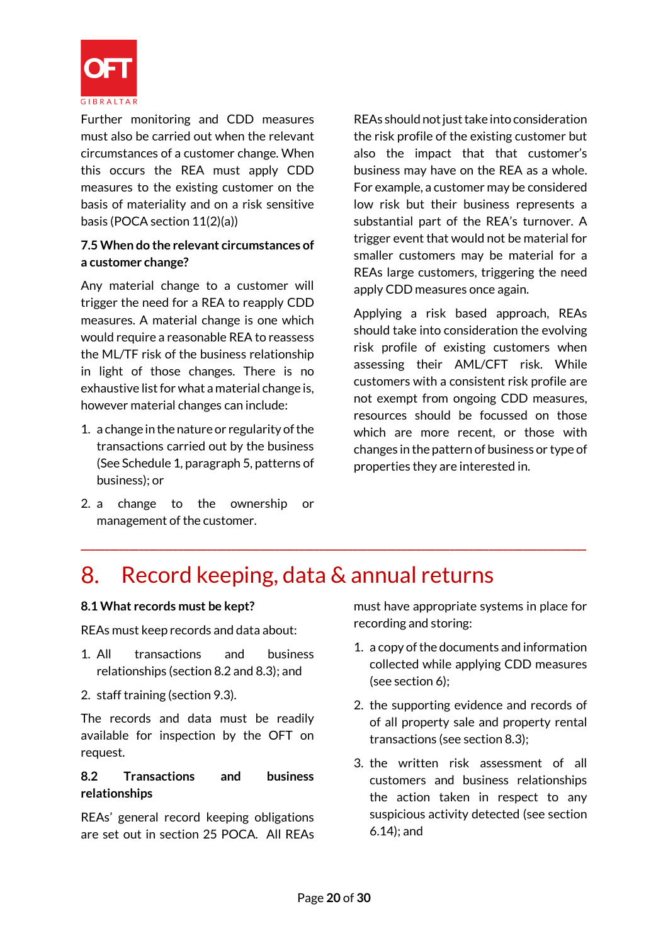

Further monitoring and CDD measures must also be carried out when the relevant circumstances of a customer change. When this occurs the REA must apply CDD measures to the existing customer on the basis of materiality and on a risk sensitive basis (POCA section 11(2)(a))

### **7.5 When do the relevant circumstances of a customer change?**

Any material change to a customer will trigger the need for a REA to reapply CDD measures. A material change is one which would require a reasonable REA to reassess the ML/TF risk of the business relationship in light of those changes. There is no exhaustive list for what a material change is, however material changes can include:

- 1. a change in the nature or regularity of the transactions carried out by the business (See Schedule 1, paragraph 5, patterns of business); or
- 2. a change to the ownership or management of the customer.

REAs should not just take into consideration the risk profile of the existing customer but also the impact that that customer's business may have on the REA as a whole. For example, a customer may be considered low risk but their business represents a substantial part of the REA's turnover. A trigger event that would not be material for smaller customers may be material for a REAs large customers, triggering the need apply CDD measures once again.

Applying a risk based approach, REAs should take into consideration the evolving risk profile of existing customers when assessing their AML/CFT risk. While customers with a consistent risk profile are not exempt from ongoing CDD measures, resources should be focussed on those which are more recent, or those with changes in the pattern of business or type of properties they are interested in.

#### Record keeping, data & annual returns 8.

**\_\_\_\_\_\_\_\_\_\_\_\_\_\_\_\_\_\_\_\_\_\_\_\_\_\_\_\_\_\_\_\_\_\_\_\_\_\_\_\_\_\_\_\_\_\_\_\_\_\_\_\_\_\_\_\_\_\_\_\_\_\_\_\_\_\_\_\_\_\_\_\_\_\_\_\_\_\_\_\_\_\_\_\_\_\_\_\_\_\_\_\_\_\_\_\_\_\_\_\_\_\_\_\_**

#### **8.1 What records must be kept?**

REAs must keep records and data about:

- 1. All transactions and business relationships (section 8.2 and 8.3); and
- 2. staff training (section 9.3).

The records and data must be readily available for inspection by the OFT on request.

#### **8.2 Transactions and business relationships**

REAs' general record keeping obligations are set out in section 25 POCA. All REAs

must have appropriate systems in place for recording and storing:

- 1. a copy of the documents and information collected while applying CDD measures (see section 6);
- 2. the supporting evidence and records of of all property sale and property rental transactions (see section 8.3);
- 3. the written risk assessment of all customers and business relationships the action taken in respect to any suspicious activity detected (see section 6.14); and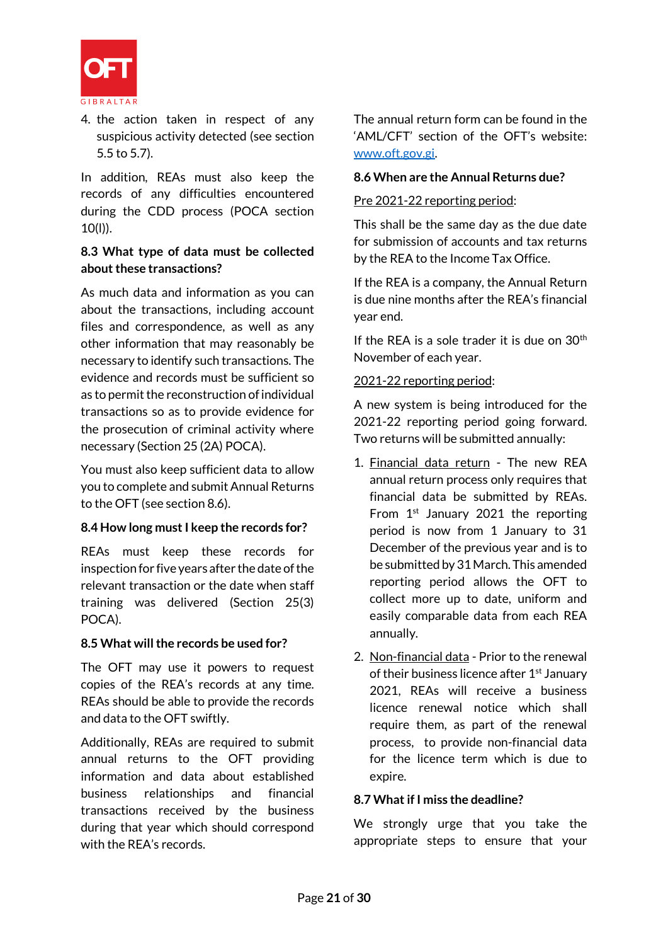

4. the action taken in respect of any suspicious activity detected (see section 5.5 to 5.7).

In addition, REAs must also keep the records of any difficulties encountered during the CDD process (POCA section 10(l)).

#### **8.3 What type of data must be collected about these transactions?**

As much data and information as you can about the transactions, including account files and correspondence, as well as any other information that may reasonably be necessary to identify such transactions. The evidence and records must be sufficient so as to permit the reconstruction of individual transactions so as to provide evidence for the prosecution of criminal activity where necessary (Section 25 (2A) POCA).

You must also keep sufficient data to allow you to complete and submit Annual Returns to the OFT (see section 8.6).

#### **8.4 How long must I keep the records for?**

REAs must keep these records for inspection for five years after the date of the relevant transaction or the date when staff training was delivered (Section 25(3) POCA).

#### **8.5 What will the records be used for?**

The OFT may use it powers to request copies of the REA's records at any time. REAs should be able to provide the records and data to the OFT swiftly.

Additionally, REAs are required to submit annual returns to the OFT providing information and data about established business relationships and financial transactions received by the business during that year which should correspond with the REA's records.

The annual return form can be found in the 'AML/CFT' section of the OFT's website: [www.oft.gov.gi.](http://www.oft.gov.gi/)

#### **8.6 When are the Annual Returns due?**

#### Pre 2021-22 reporting period:

This shall be the same day as the due date for submission of accounts and tax returns by the REA to the Income Tax Office.

If the REA is a company, the Annual Return is due nine months after the REA's financial year end.

If the REA is a sole trader it is due on  $30<sup>th</sup>$ November of each year.

#### 2021-22 reporting period:

A new system is being introduced for the 2021-22 reporting period going forward. Two returns will be submitted annually:

- 1. Financial data return The new REA annual return process only requires that financial data be submitted by REAs. From  $1<sup>st</sup>$  January 2021 the reporting period is now from 1 January to 31 December of the previous year and is to be submitted by 31 March. This amended reporting period allows the OFT to collect more up to date, uniform and easily comparable data from each REA annually.
- 2. Non-financial data Prior to the renewal of their business licence after 1<sup>st</sup> January 2021, REAs will receive a business licence renewal notice which shall require them, as part of the renewal process, to provide non-financial data for the licence term which is due to expire.

## **8.7 What if I miss the deadline?**

We strongly urge that you take the appropriate steps to ensure that your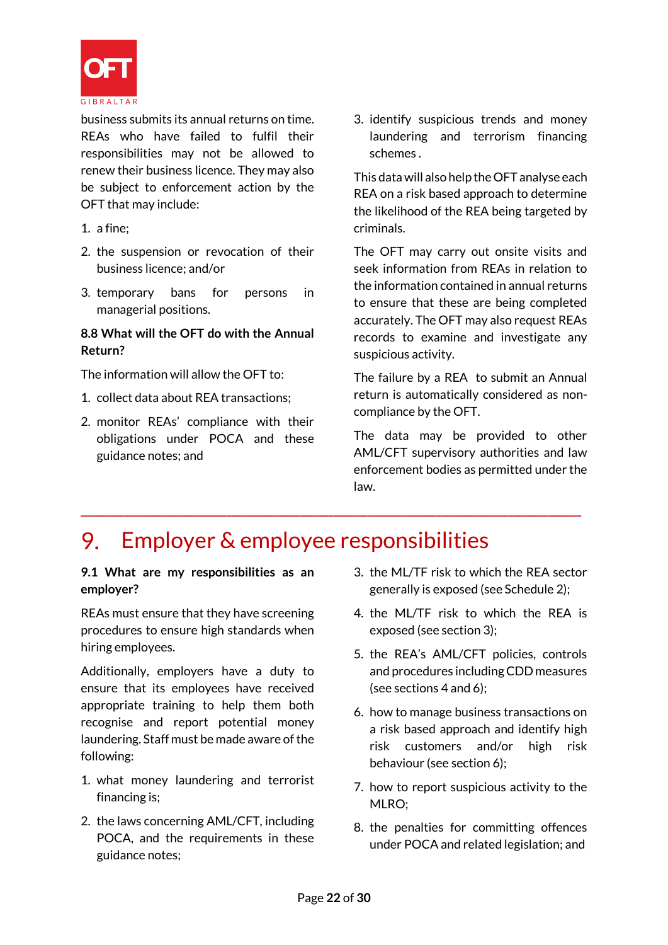

business submits its annual returns on time. REAs who have failed to fulfil their responsibilities may not be allowed to renew their business licence. They may also be subject to enforcement action by the OFT that may include:

- 1. a fine;
- 2. the suspension or revocation of their business licence; and/or
- 3. temporary bans for persons in managerial positions.

### **8.8 What will the OFT do with the Annual Return?**

The information will allow the OFT to:

- 1. collect data about REA transactions;
- 2. monitor REAs' compliance with their obligations under POCA and these guidance notes; and

3. identify suspicious trends and money laundering and terrorism financing schemes .

This data will also help the OFT analyse each REA on a risk based approach to determine the likelihood of the REA being targeted by criminals.

The OFT may carry out onsite visits and seek information from REAs in relation to the information contained in annual returns to ensure that these are being completed accurately. The OFT may also request REAs records to examine and investigate any suspicious activity.

The failure by a REA to submit an Annual return is automatically considered as noncompliance by the OFT.

The data may be provided to other AML/CFT supervisory authorities and law enforcement bodies as permitted under the law.

#### Employer & employee responsibilities 9.

**\_\_\_\_\_\_\_\_\_\_\_\_\_\_\_\_\_\_\_\_\_\_\_\_\_\_\_\_\_\_\_\_\_\_\_\_\_\_\_\_\_\_\_\_\_\_\_\_\_\_\_\_\_\_\_\_\_\_\_\_\_\_\_\_\_\_\_\_\_\_\_\_\_\_\_\_\_\_\_\_\_\_\_\_\_\_\_\_\_\_\_\_\_\_\_\_\_\_\_\_\_\_\_**

**9.1 What are my responsibilities as an employer?**

REAs must ensure that they have screening procedures to ensure high standards when hiring employees.

Additionally, employers have a duty to ensure that its employees have received appropriate training to help them both recognise and report potential money laundering. Staff must be made aware of the following:

- 1. what money laundering and terrorist financing is;
- 2. the laws concerning AML/CFT, including POCA, and the requirements in these guidance notes;
- 3. the ML/TF risk to which the REA sector generally is exposed (see Schedule 2);
- 4. the ML/TF risk to which the REA is exposed (see section 3);
- 5. the REA's AML/CFT policies, controls and procedures including CDD measures (see sections 4 and 6);
- 6. how to manage business transactions on a risk based approach and identify high risk customers and/or high risk behaviour (see section 6);
- 7. how to report suspicious activity to the MLRO;
- 8. the penalties for committing offences under POCA and related legislation; and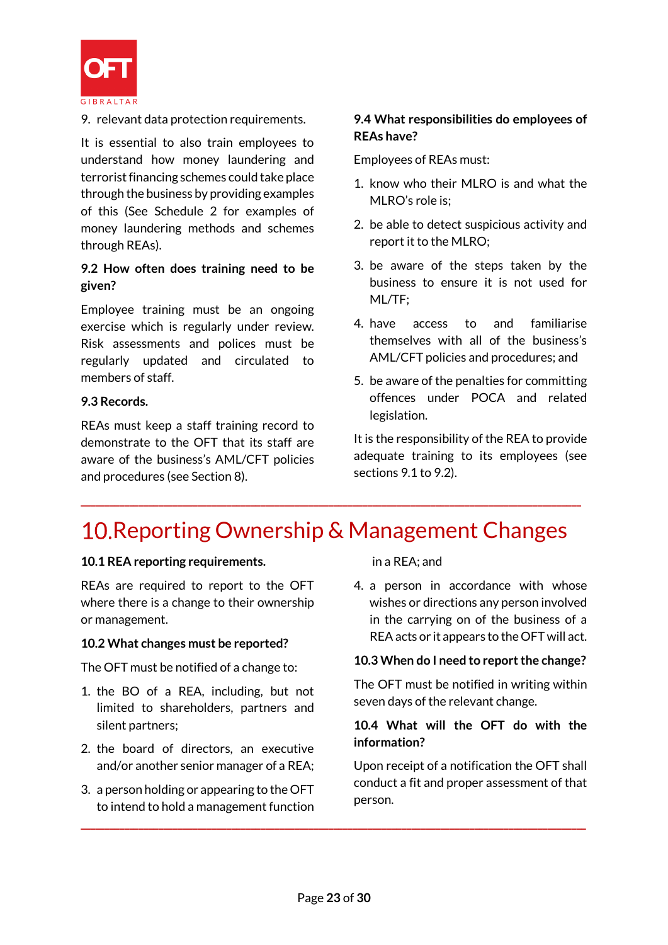

9. relevant data protection requirements.

It is essential to also train employees to understand how money laundering and terrorist financing schemes could take place through the business by providing examples of this (See Schedule 2 for examples of money laundering methods and schemes through REAs).

#### **9.2 How often does training need to be given?**

Employee training must be an ongoing exercise which is regularly under review. Risk assessments and polices must be regularly updated and circulated to members of staff.

#### **9.3 Records.**

REAs must keep a staff training record to demonstrate to the OFT that its staff are aware of the business's AML/CFT policies and procedures (see Section 8).

#### **9.4 What responsibilities do employees of REAs have?**

Employees of REAs must:

- 1. know who their MLRO is and what the MLRO's role is;
- 2. be able to detect suspicious activity and report it to the MLRO;
- 3. be aware of the steps taken by the business to ensure it is not used for ML/TF;
- 4. have access to and familiarise themselves with all of the business's AML/CFT policies and procedures; and
- 5. be aware of the penalties for committing offences under POCA and related legislation.

It is the responsibility of the REA to provide adequate training to its employees (see sections 9.1 to 9.2).

# 10. Reporting Ownership & Management Changes

**\_\_\_\_\_\_\_\_\_\_\_\_\_\_\_\_\_\_\_\_\_\_\_\_\_\_\_\_\_\_\_\_\_\_\_\_\_\_\_\_\_\_\_\_\_\_\_\_\_\_\_\_\_\_\_\_\_\_\_\_\_\_\_\_\_\_\_\_\_\_\_\_\_\_\_\_\_\_\_\_\_\_\_\_\_\_\_\_\_\_\_\_\_\_\_\_\_\_\_\_\_\_\_**

#### **10.1 REA reporting requirements.**

REAs are required to report to the OFT where there is a change to their ownership or management.

#### **10.2 What changes must be reported?**

The OFT must be notified of a change to:

- 1. the BO of a REA, including, but not limited to shareholders, partners and silent partners;
- 2. the board of directors, an executive and/or another senior manager of a REA;
- 3. a person holding or appearing to the OFT to intend to hold a management function

in a REA; and

4. a person in accordance with whose wishes or directions any person involved in the carrying on of the business of a REAacts or it appears to the OFT will act.

#### **10.3 When do I need to report the change?**

The OFT must be notified in writing within seven days of the relevant change.

#### **10.4 What will the OFT do with the information?**

Upon receipt of a notification the OFT shall conduct a fit and proper assessment of that person.

**\_\_\_\_\_\_\_\_\_\_\_\_\_\_\_\_\_\_\_\_\_\_\_\_\_\_\_\_\_\_\_\_\_\_\_\_\_\_\_\_\_\_\_\_\_\_\_\_\_\_\_\_\_\_\_\_\_\_\_\_\_\_\_\_\_\_\_\_\_\_\_\_\_\_\_\_\_\_\_\_\_\_\_\_\_\_\_\_\_\_\_\_\_\_\_\_\_\_\_\_\_\_\_\_**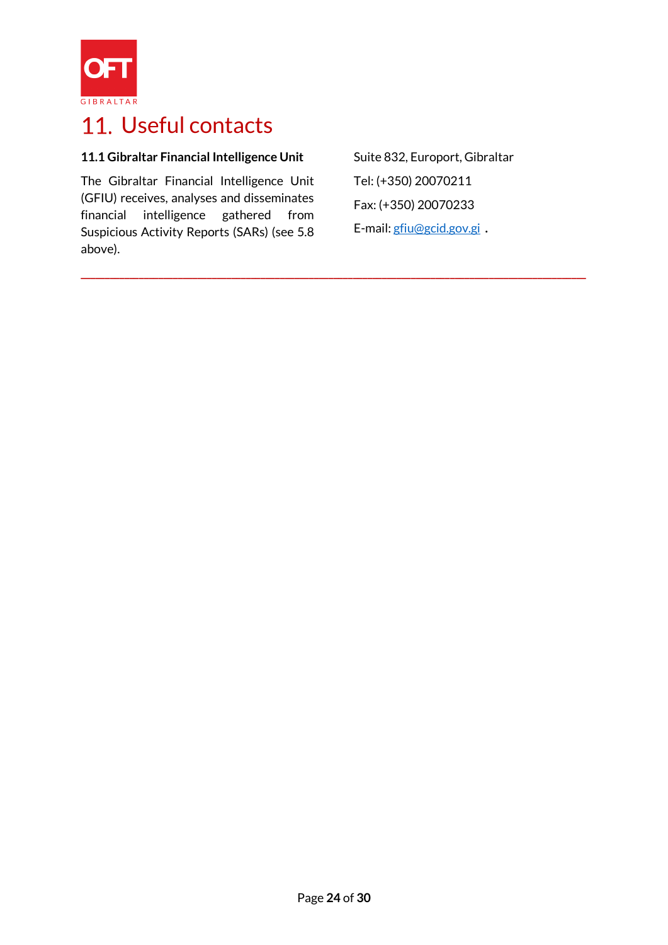

# 11. Useful contacts

# **11.1 Gibraltar Financial Intelligence Unit**

The Gibraltar Financial Intelligence Unit (GFIU) receives, analyses and disseminates financial intelligence gathered from Suspicious Activity Reports (SARs) (see 5.8 above).

Suite 832, Europort, Gibraltar Tel: (+350) 20070211 Fax: (+350) 20070233 E-mail[: gfiu@gcid.gov.gi](mailto:gfiu@gcid.gov.gi) **.**

**\_\_\_\_\_\_\_\_\_\_\_\_\_\_\_\_\_\_\_\_\_\_\_\_\_\_\_\_\_\_\_\_\_\_\_\_\_\_\_\_\_\_\_\_\_\_\_\_\_\_\_\_\_\_\_\_\_\_\_\_\_\_\_\_\_\_\_\_\_\_\_\_\_\_\_\_\_\_\_\_\_\_\_\_\_\_\_\_\_\_\_\_\_\_\_\_\_\_\_\_\_\_\_\_**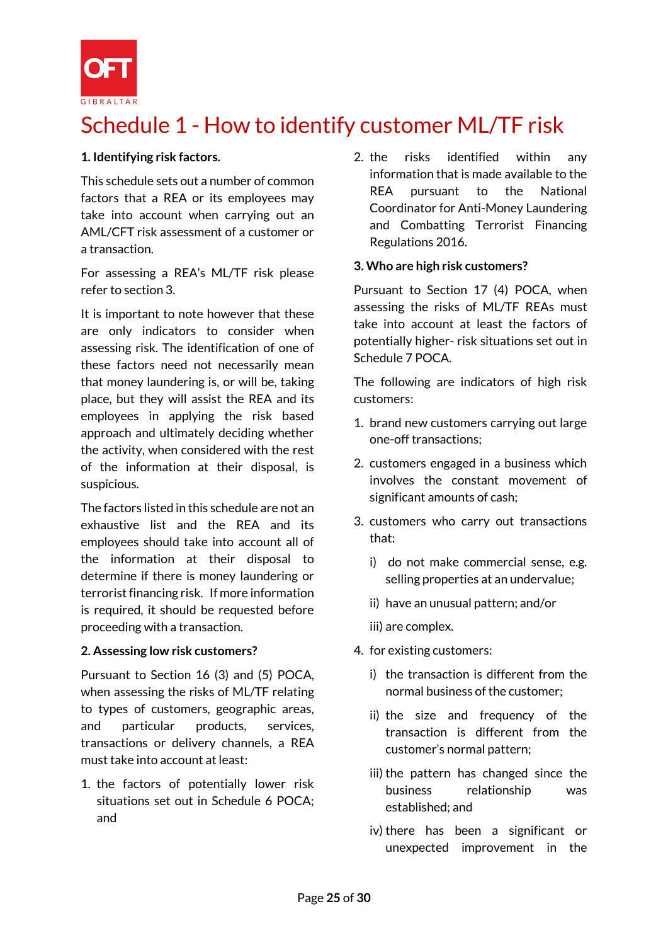

# Schedule 1 - How to identify customer ML/TF risk

#### **1. Identifying risk factors.**

This schedule sets out a number of common factors that a REA or its employees may take into account when carrying out an AML/CFT risk assessment of a customer or a transaction.

For assessing a REA's ML/TF risk please refer to section 3.

It is important to note however that these are only indicators to consider when assessing risk. The identification of one of these factors need not necessarily mean that money laundering is, or will be, taking place, but they will assist the REA and its employees in applying the risk based approach and ultimately deciding whether the activity, when considered with the rest of the information at their disposal, is suspicious.

The factors listed in this schedule are not an exhaustive list and the REA and its employees should take into account all of the information at their disposal to determine if there is money laundering or terrorist financing risk. If more information is required, it should be requested before proceeding with a transaction.

#### **2. Assessing low risk customers?**

Pursuant to Section 16 (3) and (5) POCA, when assessing the risks of ML/TF relating to types of customers, geographic areas, and particular products, services, transactions or delivery channels, a REA must take into account at least:

1. the factors of potentially lower risk situations set out in Schedule 6 POCA; and

2. the risks identified within any information that is made available to the REA pursuant to the National Coordinator for Anti-Money Laundering and Combatting Terrorist Financing Regulations 2016.

#### **3. Who are high risk customers?**

Pursuant to Section 17 (4) POCA, when assessing the risks of ML/TF REAs must take into account at least the factors of potentially higher- risk situations set out in Schedule 7 POCA.

The following are indicators of high risk customers:

- 1. brand new customers carrying out large one-off transactions;
- 2. customers engaged in a business which involves the constant movement of significant amounts of cash;
- 3. customers who carry out transactions that:
	- i) do not make commercial sense, e.g. selling properties at an undervalue;
	- ii) have an unusual pattern; and/or
	- iii) are complex.
- 4. for existing customers:
	- i) the transaction is different from the normal business of the customer;
	- ii) the size and frequency of the transaction is different from the customer's normal pattern;
	- iii) the pattern has changed since the business relationship was established; and
	- iv) there has been a significant or unexpected improvement in the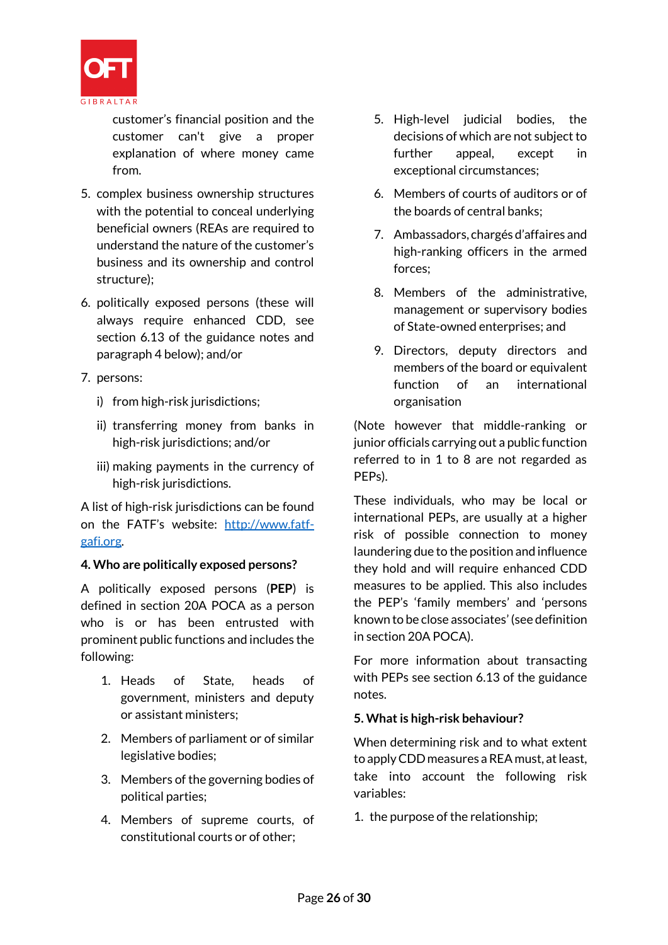

customer's financial position and the customer can't give a proper explanation of where money came from.

- 5. complex business ownership structures with the potential to conceal underlying beneficial owners (REAs are required to understand the nature of the customer's business and its ownership and control structure);
- 6. politically exposed persons (these will always require enhanced CDD, see section 6.13 of the guidance notes and paragraph 4 below); and/or
- 7. persons:
	- i) from high-risk jurisdictions;
	- ii) transferring money from banks in high-risk jurisdictions; and/or
	- iii) making payments in the currency of high-risk jurisdictions.

A list of high-risk jurisdictions can be found on the FATF's website: [http://www.fatf](http://www.fatf-gafi.org/)[gafi.org.](http://www.fatf-gafi.org/)

#### **4. Who are politically exposed persons?**

A politically exposed persons (**PEP**) is defined in section 20A POCA as a person who is or has been entrusted with prominent public functions and includes the following:

- 1. Heads of State, heads of government, ministers and deputy or assistant ministers;
- 2. Members of parliament or of similar legislative bodies;
- 3. Members of the governing bodies of political parties;
- 4. Members of supreme courts, of constitutional courts or of other;
- 5. High-level judicial bodies, the decisions of which are not subject to further appeal, except in exceptional circumstances;
- 6. Members of courts of auditors or of the boards of central banks;
- 7. Ambassadors, chargés d'affaires and high-ranking officers in the armed forces;
- 8. Members of the administrative, management or supervisory bodies of State-owned enterprises; and
- 9. Directors, deputy directors and members of the board or equivalent function of an international organisation

(Note however that middle-ranking or junior officials carrying out a public function referred to in 1 to 8 are not regarded as PEPs).

These individuals, who may be local or international PEPs, are usually at a higher risk of possible connection to money laundering due to the position and influence they hold and will require enhanced CDD measures to be applied. This also includes the PEP's 'family members' and 'persons known to be close associates' (see definition in section 20A POCA).

For more information about transacting with PEPs see section 6.13 of the guidance notes.

## **5. What is high-risk behaviour?**

When determining risk and to what extent to apply CDD measures a REA must, at least, take into account the following risk variables:

1. the purpose of the relationship;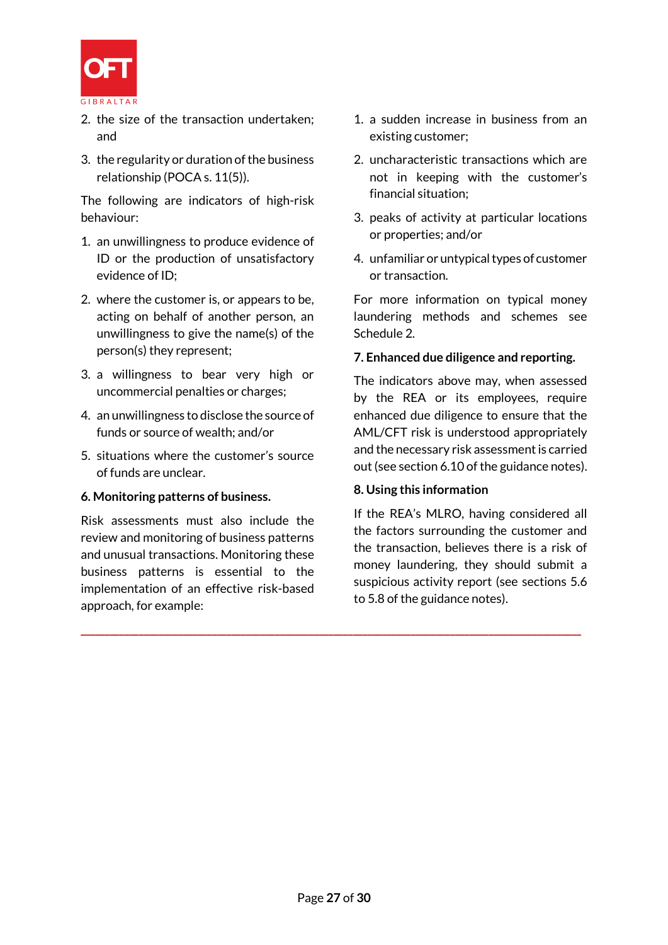

- 2. the size of the transaction undertaken; and
- 3. the regularity or duration of the business relationship (POCA s. 11(5)).

The following are indicators of high-risk behaviour:

- 1. an unwillingness to produce evidence of ID or the production of unsatisfactory evidence of ID;
- 2. where the customer is, or appears to be, acting on behalf of another person, an unwillingness to give the name(s) of the person(s) they represent;
- 3. a willingness to bear very high or uncommercial penalties or charges;
- 4. an unwillingness to disclose the source of funds or source of wealth; and/or
- 5. situations where the customer's source of funds are unclear.

#### **6. Monitoring patterns of business.**

Risk assessments must also include the review and monitoring of business patterns and unusual transactions. Monitoring these business patterns is essential to the implementation of an effective risk-based approach, for example:

- 1. a sudden increase in business from an existing customer;
- 2. uncharacteristic transactions which are not in keeping with the customer's financial situation;
- 3. peaks of activity at particular locations or properties; and/or
- 4. unfamiliar or untypical types of customer or transaction.

For more information on typical money laundering methods and schemes see Schedule 2.

#### **7. Enhanced due diligence and reporting.**

The indicators above may, when assessed by the REA or its employees, require enhanced due diligence to ensure that the AML/CFT risk is understood appropriately and the necessary risk assessment is carried out (see section 6.10 of the guidance notes).

#### **8. Using this information**

If the REA's MLRO, having considered all the factors surrounding the customer and the transaction, believes there is a risk of money laundering, they should submit a suspicious activity report (see sections 5.6 to 5.8 of the guidance notes).

**\_\_\_\_\_\_\_\_\_\_\_\_\_\_\_\_\_\_\_\_\_\_\_\_\_\_\_\_\_\_\_\_\_\_\_\_\_\_\_\_\_\_\_\_\_\_\_\_\_\_\_\_\_\_\_\_\_\_\_\_\_\_\_\_\_\_\_\_\_\_\_\_\_\_\_\_\_\_\_\_\_\_\_\_\_\_\_\_\_\_\_\_\_\_\_\_\_\_\_\_\_\_\_**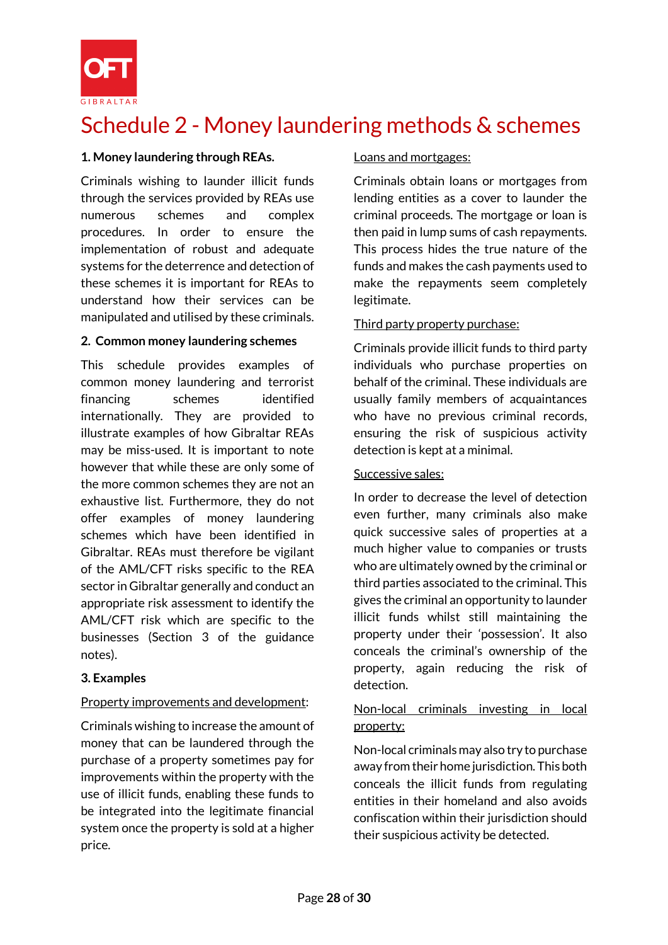

# Schedule 2 - Money laundering methods & schemes

#### **1. Money laundering through REAs.**

Criminals wishing to launder illicit funds through the services provided by REAs use numerous schemes and complex procedures. In order to ensure the implementation of robust and adequate systems for the deterrence and detection of these schemes it is important for REAs to understand how their services can be manipulated and utilised by these criminals.

#### **2. Common money laundering schemes**

This schedule provides examples of common money laundering and terrorist financing schemes identified internationally. They are provided to illustrate examples of how Gibraltar REAs may be miss-used. It is important to note however that while these are only some of the more common schemes they are not an exhaustive list. Furthermore, they do not offer examples of money laundering schemes which have been identified in Gibraltar. REAs must therefore be vigilant of the AML/CFT risks specific to the REA sector in Gibraltar generally and conduct an appropriate risk assessment to identify the AML/CFT risk which are specific to the businesses (Section 3 of the guidance notes).

#### **3. Examples**

#### Property improvements and development:

Criminals wishing to increase the amount of money that can be laundered through the purchase of a property sometimes pay for improvements within the property with the use of illicit funds, enabling these funds to be integrated into the legitimate financial system once the property is sold at a higher price.

#### Loans and mortgages:

Criminals obtain loans or mortgages from lending entities as a cover to launder the criminal proceeds. The mortgage or loan is then paid in lump sums of cash repayments. This process hides the true nature of the funds and makes the cash payments used to make the repayments seem completely legitimate.

#### Third party property purchase:

Criminals provide illicit funds to third party individuals who purchase properties on behalf of the criminal. These individuals are usually family members of acquaintances who have no previous criminal records, ensuring the risk of suspicious activity detection is kept at a minimal.

#### Successive sales:

In order to decrease the level of detection even further, many criminals also make quick successive sales of properties at a much higher value to companies or trusts who are ultimately owned by the criminal or third parties associated to the criminal. This gives the criminal an opportunity to launder illicit funds whilst still maintaining the property under their 'possession'. It also conceals the criminal's ownership of the property, again reducing the risk of detection.

## Non-local criminals investing in local property:

Non-local criminals may also try to purchase away from their home jurisdiction. This both conceals the illicit funds from regulating entities in their homeland and also avoids confiscation within their jurisdiction should their suspicious activity be detected.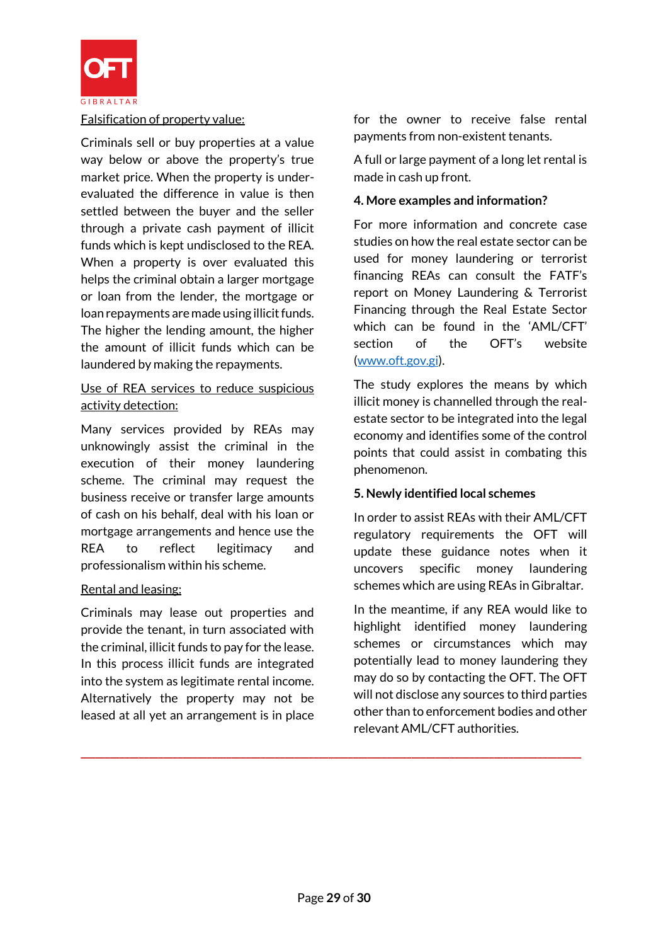

#### Falsification of property value:

Criminals sell or buy properties at a value way below or above the property's true market price. When the property is underevaluated the difference in value is then settled between the buyer and the seller through a private cash payment of illicit funds which is kept undisclosed to the REA. When a property is over evaluated this helps the criminal obtain a larger mortgage or loan from the lender, the mortgage or loan repayments are made using illicit funds. The higher the lending amount, the higher the amount of illicit funds which can be laundered by making the repayments.

#### Use of REA services to reduce suspicious activity detection:

Many services provided by REAs may unknowingly assist the criminal in the execution of their money laundering scheme. The criminal may request the business receive or transfer large amounts of cash on his behalf, deal with his loan or mortgage arrangements and hence use the REA to reflect legitimacy and professionalism within his scheme.

#### Rental and leasing:

Criminals may lease out properties and provide the tenant, in turn associated with the criminal, illicit funds to pay for the lease. In this process illicit funds are integrated into the system as legitimate rental income. Alternatively the property may not be leased at all yet an arrangement is in place

for the owner to receive false rental payments from non-existent tenants.

A full or large payment of a long let rental is made in cash up front.

#### **4. More examples and information?**

For more information and concrete case studies on how the real estate sector can be used for money laundering or terrorist financing REAs can consult the FATF's report on Money Laundering & Terrorist Financing through the Real Estate Sector which can be found in the 'AML/CFT' section of the OFT's website [\(www.oft.gov.gi\)](http://www.oft.gov.gi/).

The study explores the means by which illicit money is channelled through the realestate sector to be integrated into the legal economy and identifies some of the control points that could assist in combating this phenomenon.

#### **5. Newly identified local schemes**

In order to assist REAs with their AML/CFT regulatory requirements the OFT will update these guidance notes when it uncovers specific money laundering schemes which are using REAs in Gibraltar.

In the meantime, if any REA would like to highlight identified money laundering schemes or circumstances which may potentially lead to money laundering they may do so by contacting the OFT. The OFT will not disclose any sources to third parties other than to enforcement bodies and other relevant AML/CFT authorities.

**\_\_\_\_\_\_\_\_\_\_\_\_\_\_\_\_\_\_\_\_\_\_\_\_\_\_\_\_\_\_\_\_\_\_\_\_\_\_\_\_\_\_\_\_\_\_\_\_\_\_\_\_\_\_\_\_\_\_\_\_\_\_\_\_\_\_\_\_\_\_\_\_\_\_\_\_\_\_\_\_\_\_\_\_\_\_\_\_\_\_\_\_\_\_\_\_\_\_\_\_\_\_\_**